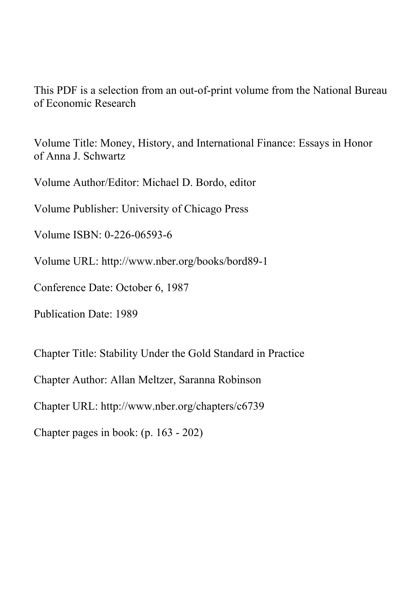This PDF is a selection from an out-of-print volume from the National Bureau of Economic Research

Volume Title: Money, History, and International Finance: Essays in Honor of Anna J. Schwartz

Volume Author/Editor: Michael D. Bordo, editor

Volume Publisher: University of Chicago Press

Volume ISBN: 0-226-06593-6

Volume URL: http://www.nber.org/books/bord89-1

Conference Date: October 6, 1987

Publication Date: 1989

Chapter Title: Stability Under the Gold Standard in Practice

Chapter Author: Allan Meltzer, Saranna Robinson

Chapter URL: http://www.nber.org/chapters/c6739

Chapter pages in book: (p. 163 - 202)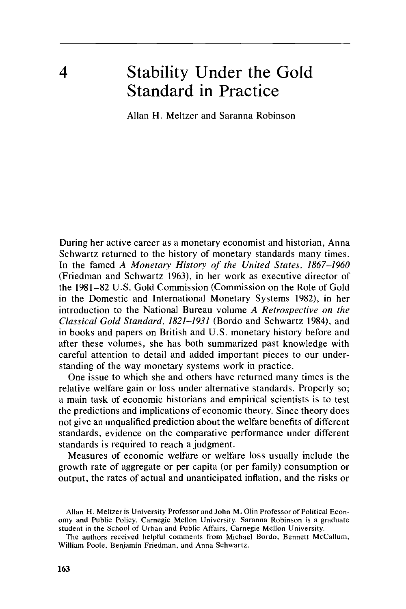# 4 Stability Under the Gold Standard in Practice

Allan **H.** Meltzer and Saranna Robinson

During her active career as a monetary economist and historian, Anna Schwartz returned to the history of monetary standards many times. In the famed *A Monetary History of the United States, 1867-1960*  (Friedman and Schwartz **1963),** in her **work** as executive director of the **1981-82 U.S.** Gold Commission (Commission on the Role of Gold in the Domestic and International Monetary Systems **1982),** in her introduction to the National Bureau volume *A Retrospective on the Classical Gold Standard, 1821-1931* (Bordo and Schwartz **1984),** and in books and papers on British and **U.S.** monetary history before and after these volumes, she has both summarized past knowledge with careful attention to detail and added important pieces to our understanding of the way monetary systems work in practice.

One issue to which she and others have returned many times is the relative welfare gain or **loss** under alternative standards. Properly so; a main task of economic historians and empirical scientists is to test the predictions and implications of economic theory. Since theory does not give an unqualified prediction about the welfare benefits of different standards, evidence on the comparative performance under different standards is required to reach a judgment.

Measures of economic welfare or welfare **loss** usually include the growth rate of aggregate or per capita (or per family) consumption or output, the rates of actual and unanticipated inflation, and the risks or

**Allan** H. **Meltzer is University Professor and John M. Olin Professor of Political Economy and Public Policy, Carnegie Mellon University. Saranna Robinson is a graduate student in the School of Urban and Public Affairs, Carnegie Mellon University.** 

**The authors received helpful comments from Michael Bordo, Bennett McCallum, William Poole, Benjamin Friedman, and Anna Schwartz.**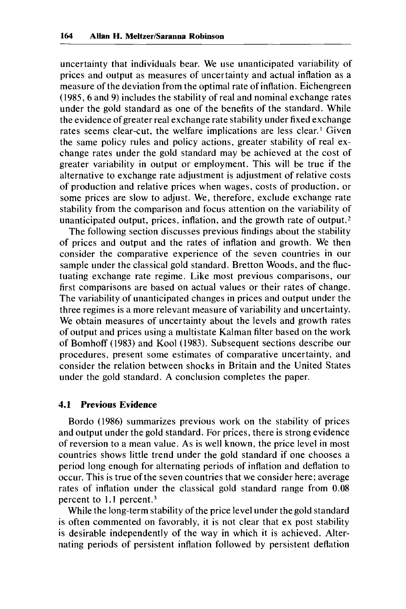uncertainty that individuals bear. We use unanticipated variability of prices and output as measures of uncertainty and actual inflation as a measure of the deviation from the optimal rate of inflation. Eichengreen (1985,6 and 9) includes the stability of real and nominal exchange rates under the gold standard as one of the benefits of the standard. While the evidence of greater real exchange rate stability under fixed exchange rates seems clear-cut, the welfare implications are less clear. **I** Given the same policy rules and policy actions, greater stability of real exchange rates under the gold standard may be achieved at the cost of greater variability in output or employment. This will be true if the alternative to exchange rate adjustment is adjustment of relative costs of production and relative prices when wages, costs of production, or some prices are slow to adjust. We, therefore, exclude exchange rate stability from the comparison and focus attention on the variability of unanticipated output, prices, inflation, and the growth rate of output.<sup>2</sup>

The following section discusses previous findings about the stability **of** prices and output and the rates of inflation and growth. We then consider the comparative experience of the seven countries in our sample under the classical gold standard. Bretton Woods, and the fluctuating exchange rate regime. Like most previous comparisons, our first comparisons are based on actual values or their rates of change. The variability of unanticipated changes in prices and output under the three regimes is a more relevant measure of variability and uncertainty. We obtain measures of uncertainty about the levels and growth rates of output and prices using a multistate Kalman filter based on the work of Bomhoff (1983) and Kool (1983). Subsequent sections describe our procedures, present some estimates of comparative uncertainty, and consider the relation between shocks in Britain and the United States under the gold standard. A conclusion completes the paper.

### **4.1 Previous Evidence**

Bordo (1986) summarizes previous work on the stability of prices and output under the gold standard. For prices, there is strong evidence of reversion to a mean value. **As** is well known, the price level in most countries shows little trend under the gold standard if one chooses a period long enough for alternating periods of inflation and deflation to occur. This is true of the seven countries that we consider here; average rates of inflation under the classical gold standard range from 0.08 percent to 1.1 percent.<sup>3</sup>

While the long-term stability of the price level under the gold standard is often commented on favorably, it is not clear that ex post stability is desirable independently of the way in which it is achieved. Alternating periods of persistent inflation followed by persistent deflation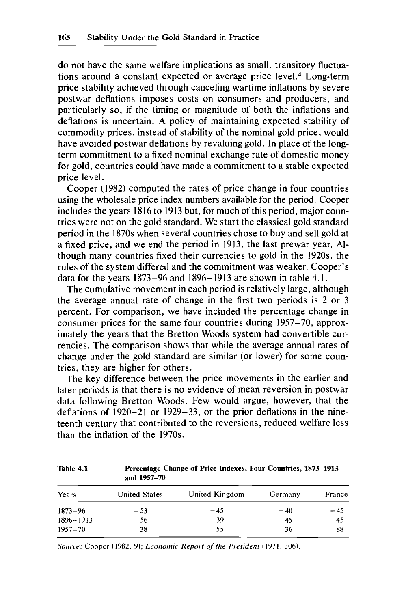do not have the same welfare implications as small, transitory fluctuations around a constant expected or average price leveL4 Long-term price stability achieved through canceling wartime inflations by severe postwar deflations imposes costs on consumers and producers, and particularly so, if the timing or magnitude of both the inflations and deflations is uncertain. **A** policy of maintaining expected stability of commodity prices, instead of stability of the nominal gold price, would have avoided postwar deflations by revaluing gold. In place of the longterm commitment to a fixed nominal exchange rate of domestic money for gold, countries could have made a commitment to a stable expected price level.

Cooper (1982) computed the rates of price change in four countries using the wholesale price index numbers available for the period. Cooper includes the years 1816 to 1913 but, for much of this period, major countries were not on the gold standard. We start the classical gold standard period in the 1870s when several countries chose to buy and sell gold at a fixed price, and we end the period in 1913, the last prewar year. **Al**though many countries fixed their currencies to gold in the 1920s, the rules of the system differed and the commitment was weaker. Cooper's data for the years 1873-96 and 1896- 1913 are shown in table **4.1.** 

The cumulative movement in each period is relatively large, although the average annual rate of change in the first two periods is 2 or 3 percent. For comparison, we have included the percentage change in consumer prices for the same four countries during 1957-70, approximately the years that the Bretton Woods system had convertible currencies. The comparison shows that while the average annual rates of change under the gold standard are similar (or lower) for some countries, they are higher for others.

The key difference between the price movements in the earlier and later periods is that there is no evidence of mean reversion in postwar data following Bretton Woods. Few would argue, however, that the deflations of 1920-21 or 1929-33, or the prior deflations in the nineteenth century that contributed to the reversions, reduced welfare less than the inflation of the 1970s.

| Table 4.1   | Percentage Change of Price Indexes, Four Countries, 1873–1913<br>and 1957–70 |                |         |        |  |  |  |  |  |
|-------------|------------------------------------------------------------------------------|----------------|---------|--------|--|--|--|--|--|
| Years       | United States                                                                | United Kingdom | Germany | France |  |  |  |  |  |
| $1873 - 96$ | $-53$                                                                        | $-45$          | $-40$   | -45    |  |  |  |  |  |
| 1896 - 1913 | 56                                                                           | 39             | 45      | 45     |  |  |  |  |  |
| $1957 - 70$ | 38                                                                           | 55             | 36      | 88     |  |  |  |  |  |

*Source: Cooper (1982, 9); Economic Report of the President (1971, 306).*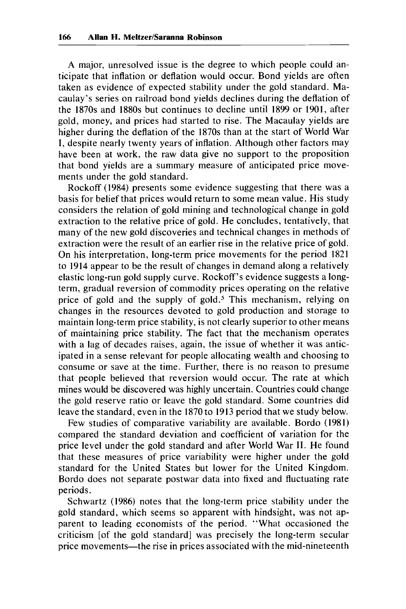**A** major, unresolved issue is the degree to which people could anticipate that inflation or deflation would occur. Bond yields are often taken as evidence of expected stability under the gold standard. Macaulay's series on railroad bond yields declines during the deflation of the 1870s and 1880s but continues to decline until 1899 or 1901, after gold, money, and prices had started to rise. The Macaulay yields are higher during the deflation of the 1870s than at the start of World War **I,** despite nearly twenty years of inflation. Although other factors may have been at work, the raw data give no support to the proposition that bond yields are a summary measure of anticipated price movements under the gold standard.

Rockoff (1984) presents some evidence suggesting that there was a basis for belief that prices would return to some mean value. His study considers the relation of gold mining and technological change in gold extraction to the relative price of gold. He concludes, tentatively, that many of the new gold discoveries and technical changes in methods of extraction were the result of an earlier rise in the relative price of gold. On his interpretation, long-term price movements for the period 1821 to 1914 appear to be the result of changes in demand along a relatively elastic long-run gold supply curve. Rockoff's evidence suggests a longterm, gradual reversion of commodity prices operating on the relative price of gold and the supply of gold.<sup>5</sup> This mechanism, relying on changes in the resources devoted to gold production and storage to maintain long-term price stability, is not clearly superior to other means of maintaining price stability. The fact that the mechanism operates with a lag of decades raises, again, the issue of whether it was anticipated in a sense relevant for people allocating wealth and choosing to consume or save at the time. Further, there is no reason to presume that people believed that reversion would occur. The rate at which mines would be discovered was highly uncertain. Countries could change the gold reserve ratio or leave the gold standard. Some countries did leave the standard, even in the 1870 to 1913 period that we study below.

Few studies of comparative variability are available. Bordo (1981) compared the standard deviation and coefficient of variation for the price level under the gold standard and after World War **11.** He found that these measures of price variability were higher under the gold standard for the United States but lower for the United Kingdom. Bordo does not separate postwar data into fixed and fluctuating rate periods.

Schwartz (1986) notes that the long-term price stability under the gold standard, which seems so apparent with hindsight, was not apparent to leading economists of the period. "What occasioned the criticism [of the gold standard] was precisely the long-term secular price movements—the rise in prices associated with the mid-nineteenth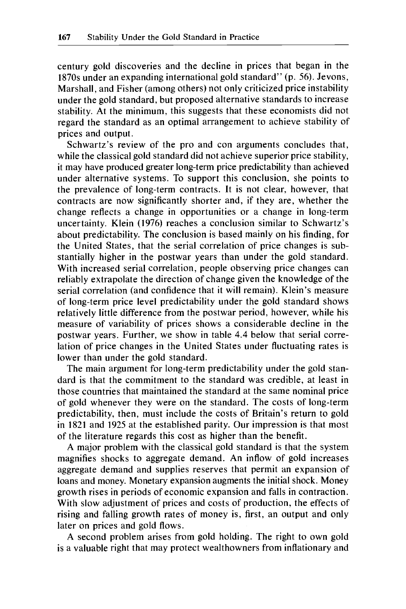century gold discoveries and the decline in prices that began in the 1870s under an expanding international gold standard" (p. **56).** Jevons, Marshall, and Fisher (among others) not only criticized price instability under the gold standard, but proposed alternative standards to increase stability. At the minimum, this suggests that these economists did not regard the standard as an optimal arrangement to achieve stability of prices and output.

Schwartz's review of the pro and con arguments concludes that, while the classical gold standard did not achieve superior price stability, it may have produced greater long-term price predictability than achieved under alternative systems. To support this conclusion, she points to the prevalence of long-term contracts. It is not clear, however, that contracts are now significantly shorter and, if they are, whether the change reflects a change in opportunities or a change in long-term uncertainty. Klein **(1976)** reaches a conclusion similar to Schwartz's about predictability. The conclusion is based mainly on his finding, for the United States, that the serial correlation of price changes is substantially higher in the postwar years than under the gold standard. With increased serial correlation, people observing price changes can reliably extrapolate the direction of change given the knowledge of the serial correlation (and confidence that it will remain). Klein's measure of long-term price level predictability under the gold standard shows relatively little difference from the postwar period, however, while his measure of variability of prices shows a considerable decline in the postwar years. Further, we show in table **4.4** below that serial correlation of price changes in the United States under fluctuating rates is lower than under the gold standard.

The main argument for long-term predictability under the gold standard is that the commitment to the standard was credible, at least in those countries that maintained the standard at the same nominal price of gold whenever they were on the standard. The costs of long-term predictability, then, must include the costs of Britain's return to gold in **1821** and **1925** at the established parity. Our impression is that most of the literature regards this cost as higher than the benefit.

A major problem with the classical gold standard is that the system magnifies shocks to aggregate demand. An inflow of gold increases aggregate demand and supplies reserves that permit an expansion of loans and money. Monetary expansion augments the initial shock. Money growth rises in periods of economic expansion and falls in contraction. With slow adjustment of prices and costs of production, the effects of rising and falling growth rates of money is, first, an output and only later on prices and gold flows.

A second problem arises from gold holding. The right to own gold is a valuable right that may protect wealthowners from inflationary and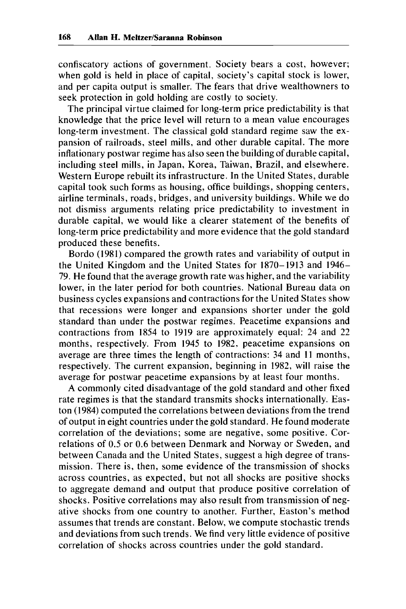confiscatory actions of government. Society bears a cost, however; when gold is held in place of capital, society's capital stock is lower, and per capita output is smaller. The fears that drive wealthowners to seek protection in gold holding are costly to society.

The principal virtue claimed for long-term price predictability is that knowledge that the price level will return to a mean value encourages long-term investment. The classical gold standard regime saw the expansion of railroads, steel mills, and other durable capital. The more inflationary postwar regime has also seen the building of durable capital, including steel mills, in Japan, Korea, Taiwan, Brazil, and elsewhere. Western Europe rebuilt its infrastructure. In the United States, durable capital took such forms as housing, office buildings, shopping centers, airline terminals, roads, bridges, and university buildings. While we do not dismiss arguments relating price predictability to investment in durable capital, we would like a clearer statement of the benefits of long-term price predictability and more evidence that the gold standard produced these benefits.

Bordo **(1981)** compared the growth rates and variability of output in the United Kingdom and the United States for **1870-1913** and **1946- 79. He** found that the average growth rate was higher, and the variability lower, in the later period for both countries. National Bureau data on business cycles expansions and contractions for the United States show that recessions were longer and expansions shorter under the gold standard than under the postwar regimes. Peacetime expansions and contractions from **1854** to **1919** are approximately equal: **24** and **22**  months, respectively. From **1945** to **1982.** peacetime expansions on average are three times the length of contractions: **34** and **11** months, respectively. The current expansion, beginning in **1982,** will raise the average for postwar peacetime expansions by at least four months.

**A** commonly cited disadvantage of the gold standard and other fixed rate regimes is that the standard transmits shocks internationally. Easton **(1984)** computed the correlations between deviations from the trend of output in eight countries under the gold standard. He found moderate correlation of the deviations; some are negative, some positive. Correlations of 0.5 or **0.6** between Denmark and Norway or Sweden, and between Canada and the United States, suggest a high degree of transmission. There is, then, some evidence of the transmission of shocks across countries, as expected, but not all shocks are positive shocks to aggregate demand and output that produce positive correlation of shocks. Positive correlations may also result from transmission of negative shocks from one country to another. Further, Easton's method assumes that trends are constant. Below, we compute stochastic trends and deviations from such trends. We find very little evidence of positive correlation of shocks across countries under the gold standard.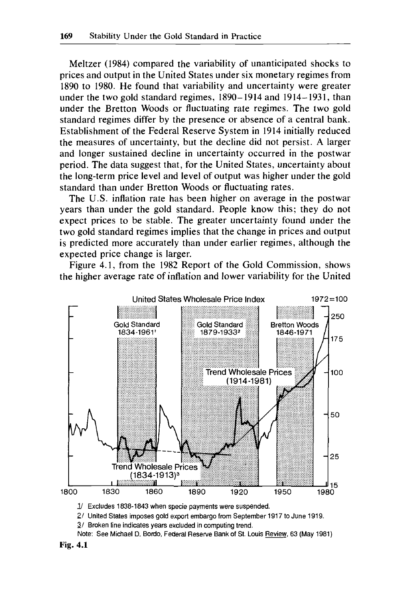Meltzer (1984) compared the variability of unanticipated shocks to prices and output in the United States under six monetary regimes from **1890** to **1980.** He found that variability and uncertainty were greater under the two gold standard regimes, **1890-1914** and **1914-1931,** than under the Bretton Woods or fluctuating rate regimes. The two gold standard regimes differ by the presence or absence of a central bank. Establishment of the Federal Reserve System in **1914** initially reduced the measures of uncertainty, but the decline did not persist. A larger and longer sustained decline in uncertainty occurred in the postwar period. The data suggest that, for the United States, uncertainty about the long-term price level and level of output was higher under the gold standard than under Bretton Woods or fluctuating rates.

The U.S. inflation rate has been higher on average in the postwar years than under the gold standard. People know this; they do not expect prices to be stable. The greater uncertainty found under the two gold standard regimes implies that the change in prices and output is predicted more accurately than under earlier regimes, although the expected price change is larger.

Figure **4.1,** from the **1982** Report of the Gold Commission, shows the higher average rate of inflation and lower variability for the United



**Y Excludes 1838-1843 when specie payments were suspended.** 

*21* **United States imposes gold export embargo from September 1917 to June 1919.** 

;I/ **Broken line indicates years excluded in computing trend.** 

**Note: See Michael D. Bordo, Federal Reserve Bank** of **St. Louis Review, 63 (May 1981)** 

**Fig. 4.1**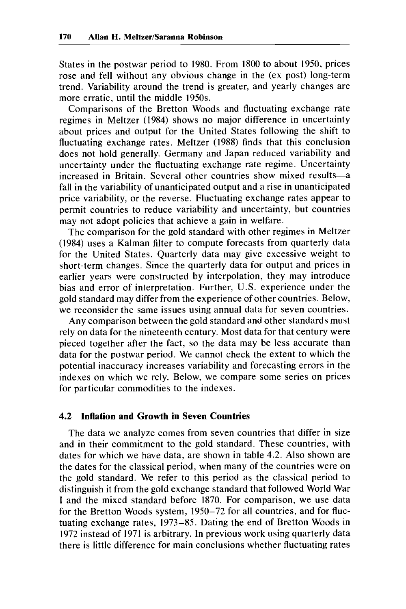States in the postwar period to 1980. From 1800 to about 1950, prices rose and fell without any obvious change in the (ex post) long-term trend. Variability around the trend is greater, and yearly changes are more erratic, until the middle 1950s.

Comparisons of the Bretton Woods and fluctuating exchange rate regimes in Meltzer (1984) shows no major difference in uncertainty about prices and output for the United States following the shift to fluctuating exchange rates. Meltzer (1988) finds that this conclusion does not hold generally. Germany and Japan reduced variability and uncertainty under the fluctuating exchange rate regime. Uncertainty increased in Britain. Several other countries show mixed results-a fall in the variability of unanticipated output and a rise in unanticipated price variability, or the reverse. Fluctuating exchange rates appear to permit countries to reduce variability and uncertainty, but countries may not adopt policies that achieve a gain in welfare.

The comparison for the gold standard with other regimes in Meltzer (1984) uses a Kalman filter to compute forecasts from quarterly data for the United States. Quarterly data may give excessive weight to short-term changes. Since the quarterly data for output and prices in earlier years were constructed by interpolation, they may introduce bias and error of interpretation. Further, U.S. experience under the gold standard may differ from the experience of other countries. Below, we reconsider the same issues using annual data for seven countries.

Any comparison between the gold standard and other standards must rely on data for the nineteenth century. Most data for that century were pieced together after the fact, so the data may be less accurate than data for the postwar period. We cannot check the extent to which the potential inaccuracy increases variability and forecasting errors in the indexes on which we rely. Below, we compare some series on prices for particular commodities to the indexes.

### **4.2 Inflation and Growth in Seven Countries**

The data we analyze comes from seven countries that differ in size and in their commitment to the gold standard. These countries, with dates for which we have data, are shown in table 4.2. Also shown are the dates for the classical period, when many of the countries were on the gold standard. We refer to this period as the classical period to distinguish it from the gold exchange standard that followed World War I and the mixed standard before 1870. For comparison, we use data for the Bretton Woods system, 1950-72 for all countries, and for fluctuating exchange rates, 1973-85. Dating the end of Bretton Woods in 1972 instead of 1971 is arbitrary. In previous work using quarterly data there is little difference for main conclusions whether fluctuating rates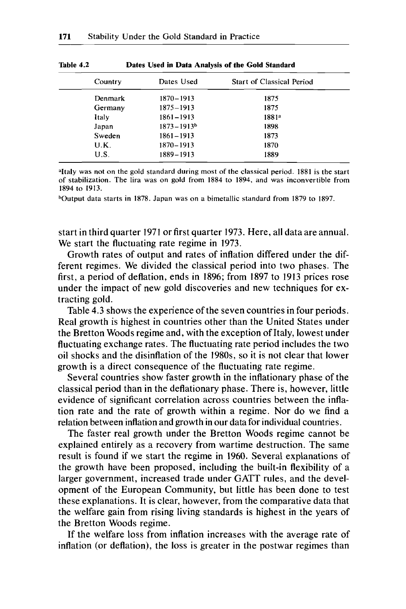| Country        | Dates Used     | <b>Start of Classical Period</b> |
|----------------|----------------|----------------------------------|
| <b>Denmark</b> | 1870 - 1913    | 1875                             |
| Germany        | 1875-1913      | 1875                             |
| Italy          | 1861-1913      | 1881 <sup>a</sup>                |
| Japan          | $1873 - 1913b$ | 1898                             |
| Sweden         | 1861–1913      | 1873                             |
| U.K.           | 1870-1913      | 1870                             |
| U.S.           | 1889-1913      | 1889                             |

**Table 4.2 Dates Used in Data Analysis of the Gold Standard** 

"Italy was not on the gold standard during most of the classical period. 1881 is the start of stabilization. The lira was on gold from 1884 to 1894, and was inconvertible from 1894 to 1913.

bOutput data starts in 1878. Japan was on a bimetallic standard from 1879 to 1897.

start in third quarter 1971 or first quarter 1973. Here, all data are annual. We start the fluctuating rate regime in 1973.

Growth rates of output and rates of inflation differed under the different regimes. We divided the classical period into two phases. The first, a period of deflation, ends in 1896; from 1897 to 1913 prices rose under the impact of new gold discoveries and new techniques for extracting gold.

Table 4.3 shows the experience of the seven countries in four periods. Real growth is highest in countries other than the United States under the Bretton Woods regime and, with the exception of Italy, lowest under fluctuating exchange rates. The fluctuating rate period includes the two oil shocks and the disinflation of the 1980s, so it is not clear that lower growth is a direct consequence of the fluctuating rate regime.

Several countries show faster growth in the inflationary phase of the classical period than in the deflationary phase. There is, however, little evidence of significant correlation across countries between the inflation rate and the rate of growth within a regime. Nor do we find a relation between inflation and growth in our data for individual countries.

The faster real growth under the Bretton Woods regime cannot be explained entirely as a recovery from wartime destruction. The same result is found if we start the regime in 1960. Several explanations of the growth have been proposed, including the built-in flexibility of a larger government, increased trade under GATT rules, and the development of the European Community, but little has been done to test these explanations. It is clear, however, from the comparative data that the welfare gain from rising living standards is highest in the years of the Bretton Woods regime.

If the welfare loss from inflation increases with the average rate of inflation (or deflation), the loss is greater in the postwar regimes than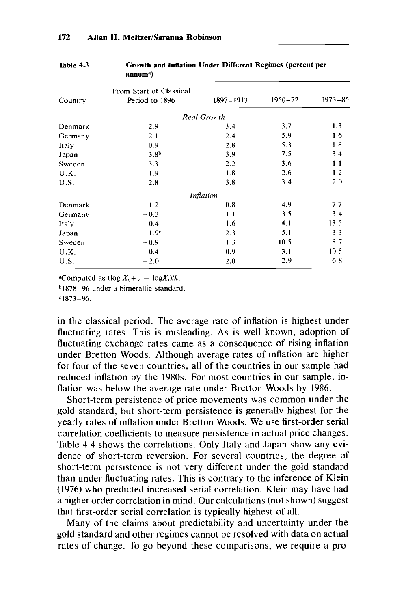|              | annum <sup>a</sup> )    |                    |             |         |
|--------------|-------------------------|--------------------|-------------|---------|
|              | From Start of Classical |                    |             |         |
| Country      | Period to 1896          | 1897-1913          | $1950 - 72$ | 1973–85 |
|              |                         | <b>Real Growth</b> |             |         |
| Denmark      | 2.9                     | 3.4                | 3.7         | 1.3     |
| Germany      | 2.1                     | 2.4                | 5.9         | 1.6     |
| Italy        | 0.9                     | 2.8                | 5.3         | 1.8     |
| Japan        | 3.8 <sup>b</sup>        | 3.9                | 7.5         | 3.4     |
| Sweden       | 3.3                     | 2.2                | 3.6         | 1.1     |
| U.K.         | 1.9                     | 1.8                | 2.6         | 1.2     |
| U.S.         | 2.8                     | 3.8                | 3.4         | 2.0     |
|              |                         | Inflation          |             |         |
| Denmark      | $-1.2$                  | 0.8                | 4.9         | 7.7     |
| Germany      | $-0.3$                  | 1.1                | 3.5         | 3.4     |
| <b>Italy</b> | $-0.4$                  | 1.6                | 4.1         | 13.5    |
| Japan        | 1.9 <sup>c</sup>        | 2.3                | 5.1         | 3.3     |
| Sweden       | $-0.9$                  | 1.3                | 10.5        | 8.7     |
| U.K.         | $-0.4$                  | 0.9                | 3.1         | 10.5    |
| U.S.         | $-2.0$                  | 2.0                | 2.9         | 6.8     |

**Table 4.3 Growth and Inflation Under Different Regimes (percent per** 

<sup>a</sup>Computed as  $(\log X_1 + k - \log X_1)/k$ .

h1878-96 under a bimetallic standard

 $c1873 - 96.$ 

in the classical period. The average rate of inflation is highest under fluctuating rates. This is misleading. **As** is well known, adoption of fluctuating exchange rates came as a consequence of rising inflation under Bretton Woods. Although average rates of inflation are higher for four of the seven countries, all of the countries in our sample had reduced inflation by the 1980s. For most countries in our sample, inflation was below the average rate under Bretton Woods by 1986.

Short-term persistence of price movements was common under the gold standard, but short-term persistence is generally highest for the yearly rates of inflation under Bretton Woods. We use first-order serial correlation coefficients to measure persistence in actual price changes. Table **4.4** shows the correlations. Only Italy and Japan show any evidence of short-term reversion. For several countries, the degree of short-term persistence is not very different under the gold standard than under fluctuating rates. This is contrary to the inference of Klein (1976) who predicted increased serial correlation. Klein may have had a higher order correlation in mind. Our calculations (not shown) suggest that first-order serial correlation is typically highest of all.

Many of the claims about predictability and uncertainty under the gold standard and other regimes cannot be resolved with data on actual rates of change. To go beyond these comparisons, we require a **pro-**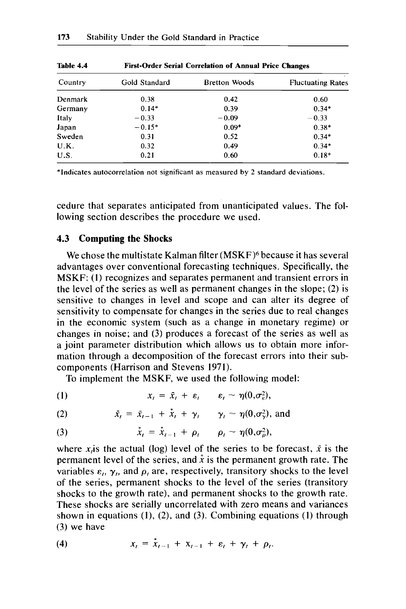| Country | Gold Standard | <b>Bretton Woods</b> | <b>Fluctuating Rates</b> |  |  |  |  |  |
|---------|---------------|----------------------|--------------------------|--|--|--|--|--|
| Denmark | 0.38          | 0.42                 | 0.60                     |  |  |  |  |  |
| Germany | $0.14*$       | 0.39                 | $0.34*$                  |  |  |  |  |  |
| Italy   | $-0.33$       | $-0.09$              | $-0.33$                  |  |  |  |  |  |
| Japan   | $-0.15*$      | $0.09*$              | $0.38*$                  |  |  |  |  |  |
| Sweden  | 0.31          | 0.52                 | $0.34*$                  |  |  |  |  |  |
| U.K.    | 0.32          | 0.49                 | $0.34*$                  |  |  |  |  |  |
| U.S.    | 0.21          | 0.60                 | $0.18*$                  |  |  |  |  |  |
|         |               |                      |                          |  |  |  |  |  |

**Table 4.4 First-Order Serial Correlation of Annual Price Changes** 

\*Indicates autocorrelation not significant as measured by 2 standard deviations.

cedure that separates anticipated from unanticipated values. The following section describes the procedure we used.

### **4.3 Computing the Shocks**

We chose the multistate Kalman filter (MSKF)<sup>6</sup> because it has several advantages over conventional forecasting techniques. Specifically, the MSKF: **(I)** recognizes and separates permanent and transient errors in the level of the series as well as permanent changes in the slope; (2) is sensitive to changes in level and scope and can alter its degree of sensitivity to compensate for changes in the series due to real changes in the economic system (such as a change in monetary regime) or changes in noise; and *(3)* produces a forecast of the series as well as a joint parameter distribution which allows us to obtain more information through a decomposition of the forecast errors into their subcomponents (Harrison and Stevens 1971).

To implement the MSKF, we used the following model:

(1) 
$$
x_t = \bar{x}_t + \varepsilon_t \qquad \varepsilon_t \sim \eta(0, \sigma_{\varepsilon}^2),
$$

(2) 
$$
\bar{x}_t = \bar{x}_{t-1} + \dot{x}_t + \gamma_t \qquad \gamma_t \sim \eta(0, \sigma_y^2), \text{ and}
$$

(3) 
$$
\dot{x}_t = \dot{x}_{t-1} + \rho_t \qquad \rho_t \sim \eta(0, \sigma_\rho^2),
$$

where x<sub>i</sub> is the actual (log) level of the series to be forecast,  $\bar{x}$  is the permanent level of the series, and  $\dot{x}$  is the permanent growth rate. The variables  $\varepsilon_i$ ,  $\gamma_i$ , and  $\rho_i$  are, respectively, transitory shocks to the level of the series, permanent shocks to the level of the series (transitory shocks to the growth rate), and permanent shocks to the growth rate. These shocks are serially uncorrelated with zero means and variances shown in equations (I), *(2),* and *(3).* Combining equations (1) through **(3)** we have

(4) 
$$
x_{t} = \dot{x}_{t-1} + x_{t-1} + \varepsilon_{t} + \gamma_{t} + \rho_{t}.
$$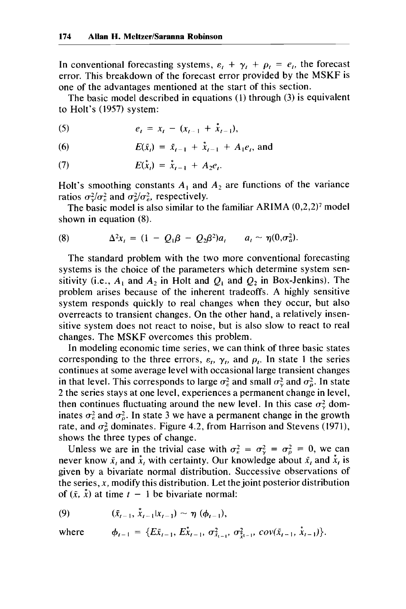In conventional forecasting systems,  $\varepsilon_t + \gamma_t + \rho_t = e_t$ , the forecast error. This breakdown of the forecast error provided by the MSKF is one of the advantages mentioned at the start of this section.

The basic model described in equations (1) through (3) is equivalent to Holt's (1957) system:

(5) 
$$
e_{t} = x_{t} - (x_{t-1} + \dot{x}_{t-1}),
$$

(6)  $E(\bar{x}) = \bar{x}_{t-1} + \bar{x}_{t-1} + A_1e_t$ , and

(7) 
$$
E(\dot{x}_t) = \dot{x}_{t-1} + A_2 e_t.
$$

Holt's smoothing constants  $A_1$  and  $A_2$  are functions of the variance ratios  $\sigma_{\gamma}^2/\sigma_{\epsilon}^2$  and  $\sigma_{\theta}^2/\sigma_{\epsilon}^2$ , respectively.

The basic model is also similar to the familiar ARIMA **(0,2,2)7** model shown in equation **(8).** 

(8) 
$$
\Delta^2 x_t = (1 - Q_1 \beta - Q_2 \beta^2) a_t \qquad a_t \sim \eta(0, \sigma_a^2).
$$

The standard problem with the two more conventional forecasting systems is the choice of the parameters which determine system sensitivity (i.e.,  $A_1$  and  $A_2$  in Holt and  $Q_1$  and  $Q_2$  in Box-Jenkins). The problem arises because of the inherent tradeoffs. **A** highly sensitive system responds quickly to real changes when they occur, but also overreacts to transient changes. On the other hand, a relatively insensitive system does not react to noise, but is also slow to react to real changes. The MSKF overcomes this problem.

In modeling economic time series, we can think of three basic states corresponding to the three errors,  $\varepsilon_t$ ,  $\gamma_t$ , and  $\rho_t$ . In state 1 the series continues at some average level with occasional large transient changes in that level. This corresponds to large  $\sigma_{\kappa}^2$  and small  $\sigma_{\kappa}^2$  and  $\sigma_{\kappa}^2$ . In state 2 the series stays at one level, experiences a permanent change in level, then continues fluctuating around the new level. In this case  $\sigma_{\gamma}^2$  dominates  $\sigma_{\varepsilon}^2$  and  $\sigma_{\rho}^2$ . In state 3 we have a permanent change in the growth rate, and  $\sigma_p^2$  dominates. Figure 4.2, from Harrison and Stevens (1971), shows the three types of change.

Unless we are in the trivial case with  $\sigma_{\varepsilon}^2 = \sigma_{\gamma}^2 = \sigma_{\rho}^2 = 0$ , we can Unless we are in the trivial case with  $\sigma_{\varepsilon}^2 = \sigma_{\varepsilon}^2 = \sigma_{\rho}^2 = 0$ , we can never know  $\bar{x}_t$  and  $\dot{x}_t$  with certainty. Our knowledge about  $\bar{x}_t$  and  $\dot{x}_t$  is given by a bivariate normal distribution. Successive observations of the series, **x,** modify this distribution. Let the joint posterior distribution never know  $\bar{x}_t$  and  $\dot{x}_t$  with certainty. Our kr<br>given by a bivariate normal distribution. S<br>the series, x, modify this distribution. Let the<br>of  $(\bar{x}, \dot{x})$  at time  $t - 1$  be bivariate normal:

(9) 
$$
(\tilde{x}_{t-1}, \tilde{x}_{t-1} | x_{t-1}) \sim \eta (\phi_{t-1}),
$$

 $\phi_{t-1} = \{E\bar{x}_{t-1}, E\bar{x}_{t-1}, \sigma^2_{\bar{x}_{t-1}}, \sigma^2_{\bar{x}_{t-1}}, cov(\bar{x}_{t-1}, \bar{x}_{t-1})\}.$ where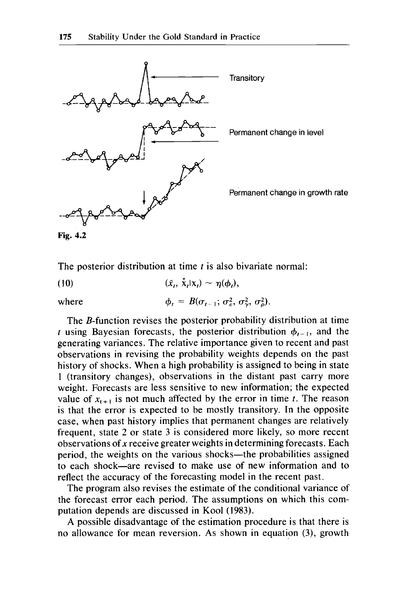

The posterior distribution at time *t* is also bivariate normal:<br>
(10)  $(\bar{x}_t, \dot{x}_t | x_t) \sim \eta(\phi_t)$ ,

where  $\phi_i = B(\sigma_{i-1}; \sigma_s^2, \sigma_v^2, \sigma_o^2).$ 

The B-function revises the posterior probability distribution at time *t* using Bayesian forecasts, the posterior distribution  $\phi_{t-1}$ , and the generating variances. The relative importance given to recent and past observations in revising the probability weights depends on the past history of shocks. When a high probability is assigned to being in state 1 (transitory changes), observations in the distant past carry more weight. Forecasts are less sensitive to new information; the expected value of  $x_{t+1}$  is not much affected by the error in time *t*. The reason is that the error is expected to be mostly transitory. In the opposite case, when past history implies that permanent changes are relatively frequent, state *2* or state *3* is considered more likely, *so* more recent observations of **x** receive greater weights in determining forecasts. Each period, the weights on the various shocks—the probabilities assigned to each shock-are revised to make use of new information and to reflect the accuracy of the forecasting model in the recent past.

The program also revises the estimate of the conditional variance of the forecast error each period. The assumptions on which this computation depends are discussed in Kool **(1983).** 

**A** possible disadvantage of the estimation procedure is that there is no allowance for mean reversion. **As** shown in equation *(3),* growth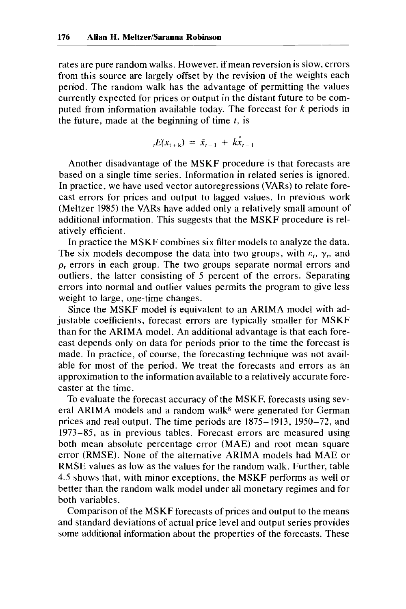rates are pure random walks. However, if mean reversion is slow, errors from this source are largely offset by the revision of the weights each period. The random walk has the advantage of permitting the values currently expected for prices or output in the distant future to be computed from information available today. The forecast for *k* periods in the future, made at the beginning of time *t,* is

$$
{}_{t}E(x_{t+k}) = \bar{x}_{t-1} + k\bar{x}_{t-1}
$$

Another disadvantage of the MSKF procedure is that forecasts are based on a single time series. Information in related series is ignored. In practice, we have used vector autoregressions (VARs) to relate forecast errors for prices and output to lagged values. In previous work (Meltzer 1985) the VARs have added only a relatively small amount of additional information. This suggests that the MSKF procedure is relatively efficient.

In practice the MSKF combines six filter models to analyze the data. The six models decompose the data into two groups, with  $\varepsilon_t$ ,  $\gamma_t$ , and  $\rho$ , errors in each group. The two groups separate normal errors and outliers, the latter consisting of *5* percent of the errors. Separating errors into normal and outlier values permits the program to give less weight to large, one-time changes.

Since the MSKF model is equivalent to an ARIMA model with adjustable coefficients, forecast errors are typically smaller for MSKF than for the ARIMA model. An additional advantage is that each forecast depends only on data for periods prior to the time the forecast is made. In practice, of course, the forecasting technique was not available for most of the period. We treat the forecasts and errors as an approximation to the information available to a relatively accurate forecaster at the time.

To evaluate the forecast accuracy of the MSKF, forecasts using several ARIMA models and a random walk<sup>8</sup> were generated for German prices and real output. The time periods are 1875-1913, 1950-72, and 1973-85, as in previous tables. Forecast errors are measured using both mean absolute percentage error (MAE) and root mean square error (RMSE). None of the alternative ARIMA models had MAE or RMSE values as low as the values for the random walk. Further, table **4.5** shows that, with minor exceptions, the MSKF performs as well or better than the random walk model under all monetary regimes and for both variables.

Comparison of the MSKF forecasts of prices and output to the means and standard deviations of actual price level and output series provides some additional information about the properties of the forecasts. These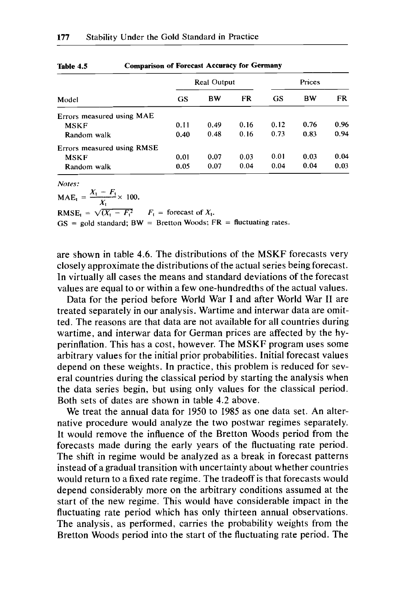|                            |      | <b>Real Output</b> | Prices |      |      |      |
|----------------------------|------|--------------------|--------|------|------|------|
| Model                      | GS   | BW                 | FR     | GS   | вw   | FR   |
| Errors measured using MAE  |      |                    |        |      |      |      |
| MSKF                       | 0.11 | 0.49               | 0.16   | 0.12 | 0.76 | 0.96 |
| Random walk                | 0.40 | 0.48               | 0.16   | 0.73 | 0.83 | 0.94 |
| Errors measured using RMSE |      |                    |        |      |      |      |
| <b>MSKF</b>                | 0.01 | 0.07               | 0.03   | 0.01 | 0.03 | 0.04 |
| Random walk                | 0.05 | 0.07               | 0.04   | 0.04 | 0.04 | 0.03 |

| Table 4.5 | <b>Comparison of Forecast Accuracy for Germany</b> |  |  |  |  |
|-----------|----------------------------------------------------|--|--|--|--|
|-----------|----------------------------------------------------|--|--|--|--|

*Nofes:* 

 $X_1 - F_1$  $\text{MAE}_1 = \frac{X_1 - F_1}{X_1} \times 100.$ **RMSE<sub>t</sub>** =  $\sqrt{(X_1 - F_1^2)}$   $F_1$  = forecast of  $X_1$ .  $GS =$  gold standard; BW = Bretton Woods; FR = fluctuating rates.

are shown in table **4.6.** The distributions of the **MSKF** forecasts very closely approximate the distributions of the actual series being forecast. In virtually all cases the means and standard deviations of the forecast values are equal to or within a few one-hundredths of the actual values.

Data for the period before World War **I** and after World War **I1** are treated separately in our analysis. Wartime and interwar data are omitted. The reasons are that data are not available for all countries during wartime, and interwar data for German prices are affected by the hyperinflation. This has a cost, however. The **MSKF** program uses some arbitrary values for the initial prior probabilities. Initial forecast values depend on these weights. In practice, this problem is reduced for several countries during the classical period by starting the analysis when the data series begin, but using only values for the classical period. Both sets of dates are shown in table **4.2** above.

We treat the annual data for 1950 to 1985 as one data set. An alternative procedure would analyze the two postwar regimes separately. It would remove the influence of the Bretton Woods period from the forecasts made during the early years of the fluctuating rate period. The shift in regime would be analyzed as a break in forecast patterns instead of a gradual transition with uncertainty about whether countries would return to a fixed rate regime. The tradeoff is that forecasts would depend considerably more on the arbitrary conditions assumed at the start of the new regime. This would have considerable impact in the fluctuating rate period which has only thirteen annual observations. The analysis, as performed, carries the probability weights from the Bretton Woods period into the start of the fluctuating rate period. The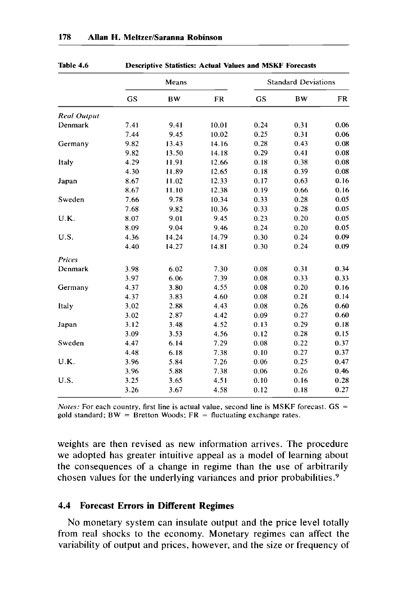|                    |           | Means     |           | <b>Standard Deviations</b> |           |           |  |
|--------------------|-----------|-----------|-----------|----------------------------|-----------|-----------|--|
|                    | <b>GS</b> | <b>BW</b> | <b>FR</b> | <b>GS</b>                  | <b>BW</b> | <b>FR</b> |  |
| <b>Real Output</b> |           |           |           |                            |           |           |  |
| Denmark            | 7.41      | 9.41      | 10.01     | 0.24                       | 0.31      | 0.06      |  |
|                    | 7.44      | 9.45      | 10.02     | 0.25                       | 0.31      | 0.06      |  |
| Germany            | 9.82      | 13.43     | 14.16     | 0.28                       | 0.43      | 0.08      |  |
|                    | 9.82      | 13.50     | 14.18     | 0.29                       | 0.41      | 0.08      |  |
| <b>Italy</b>       | 4.29      | 11.91     | 12.66     | 0.18                       | 0.38      | 0.08      |  |
|                    | 4.30      | 11.89     | 12.65     | 0.18                       | 0.39      | 0.08      |  |
| Japan              | 8.67      | 11.02     | 12.33     | 0.17                       | 0.63      | 0.16      |  |
|                    | 8.67      | 11.10     | 12.38     | 0.19                       | 0.66      | 0.16      |  |
| Sweden             | 7.66      | 9.78      | 10.34     | 0.33                       | 0.28      | 0.05      |  |
|                    | 7.68      | 9.82      | 10.36     | 0.33                       | 0.28      | 0.05      |  |
| U.K.               | 8.07      | 9.01      | 9.45      | 0.23                       | 0.20      | 0.05      |  |
|                    | 8.09      | 9.04      | 9.46      | 0.24                       | 0.20      | 0.05      |  |
| U.S.               | 4.36      | 14.24     | 14.79     | 0.30                       | 0.24      | 0.09      |  |
|                    | 4.40      | 14.27     | 14.81     | 0.30                       | 0.24      | 0.09      |  |
| Prices             |           |           |           |                            |           |           |  |
| Denmark            | 3.98      | 6.02      | 7.30      | 0.08                       | 0.31      | 0.34      |  |
|                    | 3.97      | 6.06      | 7.39      | 0.08                       | 0.33      | 0.33      |  |
| Germany            | 4.37      | 3.80      | 4.55      | 0.08                       | 0.20      | 0.16      |  |
|                    | 4.37      | 3.83      | 4.60      | 0.08                       | 0.21      | 0.14      |  |
| Italy              | 3.02      | 2.88      | 4.43      | 0.08                       | 0.26      | 0.60      |  |
|                    | 3.02      | 2.87      | 4.42      | 0.09                       | 0.27      | 0.60      |  |
| Japan              | 3.12      | 3.48      | 4.52      | 0.13                       | 0.29      | 0.18      |  |
|                    | 3.09      | 3.53      | 4.56      | 0.12                       | 0.28      | 0.15      |  |
| Sweden             | 4.47      | 6.14      | 7.29      | 0.08                       | 0.22      | 0.37      |  |
|                    | 4.48      | 6.18      | 7.38      | 0.10                       | 0.27      | 0.37      |  |
| U.K.               | 3.96      | 5.84      | 7.26      | 0.06                       | 0.25      | 0.47      |  |
|                    | 3.96      | 5.88      | 7.38      | 0.06                       | 0.26      | 0.46      |  |
| U.S.               | 3.25      | 3.65      | 4.51      | 0.10                       | 0.16      | 0.28      |  |
|                    | 3.26      | 3.67      | 4.58      | 0.12                       | 0.18      | 0.27      |  |

**Table 4.6 Descriptive Statistics: Actual Values and MSKF Forecasts** 

*Notes:* For each country, first line is actual value, second line is MSKF forecast.  $GS =$ gold standard;  $BW =$  Bretton Woods;  $FR =$  fluctuating exchange rates.

weights are then revised as new information arrives. The procedure we adopted has greater intuitive appeal as a model of learning about the consequences of a change in regime than the use of arbitrarily chosen values for the underlying variances and prior probabilities.'

### **4.4 Forecast Errors in Different Regimes**

No monetary system can insulate output and the price level totally from real shocks to the economy. Monetary regimes can affect the variability of output and prices, however, and the size or frequency of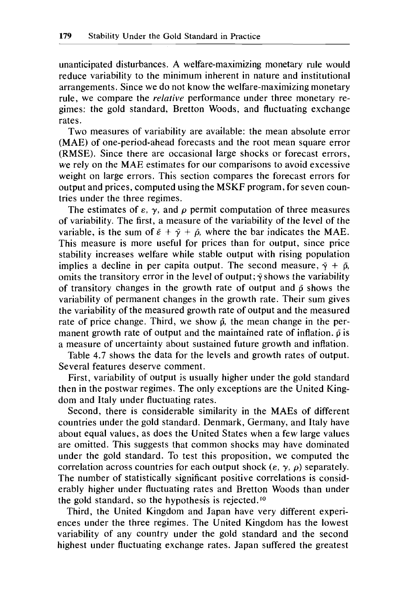unanticipated disturbances. **A** welfare-maximizing monetary rule would reduce variability to the minimum inherent in nature and institutional arrangements. Since we do not know the welfare-maximizing monetary rule, we compare the *relative* performance under three monetary regimes: the gold standard, Bretton Woods, and fluctuating exchange rates.

Two measures of variability are available: the mean absolute error **(MAE)** of one-period-ahead forecasts and the root mean square error **(RMSE).** Since there are occasional large shocks or forecast errors, we rely on the **MAE** estimates for our comparisons to avoid excessive weight on large errors. This section compares the forecast errors for output and prices, computed using the **MSKF** program, for seven countries under the three regimes.

The estimates of  $\varepsilon$ ,  $\gamma$ , and  $\rho$  permit computation of three measures of variability. The first, a measure of the variability *of* the level of the variable, is the sum of  $\bar{\varepsilon} + \bar{\gamma} + \bar{\rho}$ , where the bar indicates the MAE. This measure is more useful for prices than for output, since price stability increases welfare while stable output with rising population implies a decline in per capita output. The second measure,  $\bar{y} + \bar{p}$ , omits the transitory error in the level of output;  $\overline{y}$  shows the variability of transitory changes in the growth rate of output and **p** shows the variability of permanent changes in the growth rate. Their sum gives the variability of the measured growth rate of output and the measured rate of price change. Third, we show  $\tilde{\rho}$ , the mean change in the permanent growth rate of output and the maintained rate of inflation.  $\overline{\rho}$  is a measure of uncertainty about sustained future growth and inflation.

Table 4.7 shows the data for the levels and growth rates of output. Several features deserve comment.

First, variability of output is usually higher under the gold standard then in the postwar regimes. The only exceptions are the United Kingdom and Italy under fluctuating rates.

Second, there is considerable similarity in the **MAEs** of different countries under the gold standard. Denmark, Germany, and Italy have about equal values, as does the United States when a few large values are omitted. This suggests that common shocks may have dominated under the gold standard. To test this proposition, we computed the correlation across countries for each output shock  $(\varepsilon, \gamma, \rho)$  separately. The number of statistically significant positive correlations is considerably higher under fluctuating rates and Bretton Woods than under the gold standard, so the hypothesis is rejected.'O

Third, the United Kingdom and Japan have very different experiences under the three regimes. The United Kingdom has the lowest variability of any country under the gold standard and the second highest under fluctuating exchange rates. Japan suffered the greatest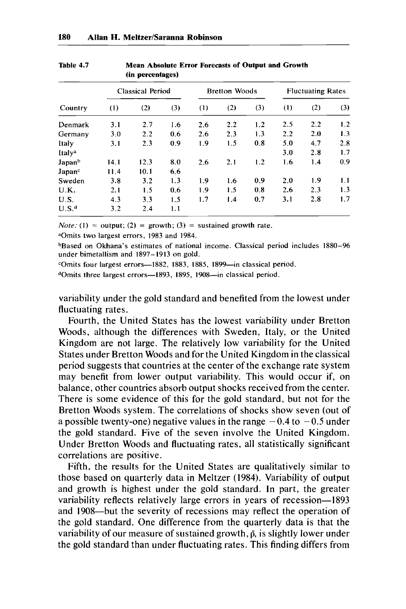|                    | $(1 - 1)$               |      |     |                      |     |     |                          |     |     |  |  |  |
|--------------------|-------------------------|------|-----|----------------------|-----|-----|--------------------------|-----|-----|--|--|--|
|                    | <b>Classical Period</b> |      |     | <b>Bretton Woods</b> |     |     | <b>Fluctuating Rates</b> |     |     |  |  |  |
| Country            | (1)                     | (2)  | (3) | (1)                  | (2) | (3) | (1)                      | (2) | (3) |  |  |  |
| Denmark            | 3.1                     | 2.7  | 1.6 | 2.6                  | 2.2 | 1.2 | 2.5                      | 2.2 | 1.2 |  |  |  |
| Germany            | 3.0                     | 2.2  | 0.6 | 2.6                  | 2.3 | 1.3 | 2.2                      | 2.0 | 1.3 |  |  |  |
| Italy              | 3.1                     | 2.3  | 0.9 | 1.9                  | 1.5 | 0.8 | 5.0                      | 4.7 | 2.8 |  |  |  |
| Italy <sup>a</sup> |                         |      |     |                      |     |     | 3.0                      | 2.8 | 1.7 |  |  |  |
| Japan <sup>b</sup> | 14.1                    | 12.3 | 8.0 | 2.6                  | 2.1 | 1.2 | 1.6                      | 1.4 | 0.9 |  |  |  |
| Japan <sup>c</sup> | 11.4                    | 10.1 | 6.6 |                      |     |     |                          |     |     |  |  |  |
| Sweden             | 3.8                     | 3.2  | 1.3 | 1.9                  | 1.6 | 0.9 | 2.0                      | 1.9 | 1.1 |  |  |  |
| U.K.               | 2.1                     | 1.5  | 0.6 | 1.9                  | 1.5 | 0.8 | 2.6                      | 2.3 | 1.3 |  |  |  |
| U.S.               | 4.3                     | 3.3  | 1.5 | 1.7                  | 1.4 | 0.7 | 3.1                      | 2.8 | 1.7 |  |  |  |
| U.S. <sup>d</sup>  | 3.2                     | 2.4  | 1.1 |                      |     |     |                          |     |     |  |  |  |

**Table 4.7 Mean Absolute Error Forecasts of Output and Growth (in percentages)** 

 $Note: (1) = output; (2) = growth; (3) = sustained growth rate.$ 

aOmits two largest errors, 1983 and 1984.

hBased on Okhana's estimates of national income. Classical period includes 1880-96 under bimetallism and 1897-1913 on gold.

cOmits four largest errors-1882, 1883, 1885, 1899-in classical period.

dOmits three largest errors—1893, 1895, 1908—in classical period.

variability under the gold standard and benefited from the lowest under fluctuating rates.

Fourth, the United States has the lowest variability under Bretton Woods, although the differences with Sweden, Italy, or the United Kingdom are not large. The relatively low variability for the United States under Bretton Woods and for the United Kingdom in the classical period suggests that countries at the center of the exchange rate system may benefit from lower output variability. This would occur if, on balance, other countries absorb output shocks received from the center. There is some evidence of this for the gold standard, but not for the Bretton Woods system. The correlations of shocks show seven (out of a possible twenty-one) negative values in the range  $-0.4$  to  $-0.5$  under the gold standard. Five of the seven involve the United Kingdom. Under Bretton Woods and fluctuating rates, all statistically significant correlations are positive.

Fifth, the results for the United States are qualitatively similar to those based on quarterly data in Meltzer (1984). Variability of output and growth is highest under the gold standard. In part, the greater variability reflects relatively large errors in years of recession—1893 and 1908—but the severity of recessions may reflect the operation of the gold standard. One difference from the quarterly data is that the variability of our measure of sustained growth, **p,** is slightly lower under the gold standard than under fluctuating rates. This finding differs from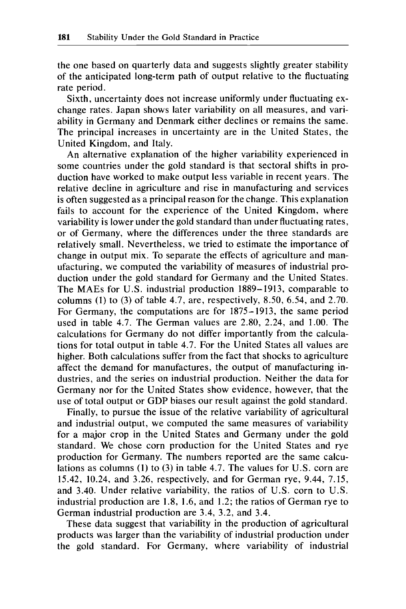the one based on quarterly data and suggests slightly greater stability of the anticipated long-term path of output relative to the fluctuating rate period.

Sixth, uncertainty does not increase uniformly under fluctuating exchange rates. Japan shows later variability on all measures, and variability in Germany and Denmark either declines or remains the same. The principal increases in uncertainty are in the United States, the United Kingdom, and Italy.

An alternative explanation of the higher variability experienced in some countries under the gold standard is that sectoral shifts in production have worked to make output less variable in recent years. The relative decline in agriculture and rise in manufacturing and services is often suggested as a principal reason for the change. This explanation fails to account for the experience of the United Kingdom, where variability is lower under the gold standard than under fluctuating rates, or of Germany, where the differences under the three standards are relatively small. Nevertheless, we tried to estimate the importance of change in output mix. To separate the effects of agriculture and manufacturing, we computed the variability of measures of industrial production under the gold standard for Germany and the United States. The **MAEs** for U.S. industrial production **1889-1913,** comparable to columns **(1)** to **(3)** of table **4.7,** are, respectively, **8.50, 6.54,** and **2.70. For** Germany, the computations are for **1875-1913,** the same period used in table **4.7.** The German values are **2.80, 2.24,** and **1.00.** The calculations for Germany do not differ importantly from the calculations for total output in table **4.7.** For the United States all values are higher. Both calculations suffer from the fact that shocks to agriculture affect the demand for manufactures, the output of manufacturing industries, and the series on industrial production. Neither the data for Germany nor for the United States show evidence, however, that the use of total output or GDP biases our result against the gold standard.

Finally, to pursue the issue of the relative variability of agricultural and industrial output, we computed the same measures of variability for a major crop in the United States and Germany under the gold standard. We chose corn production for the United States and rye production for Germany. The numbers reported are the same calculations as columns **(1)** to **(3)** in table **4.7.** The values for U.S. corn are **15.42, 10.24,** and **3.26,** respectively, and for German rye, **9.44, 7.15,**  and **3.40.** Under relative variability, the ratios of U.S. corn to **U.S.**  industrial production are **1.8, 1.6,** and **1.2;** the ratios of German rye to German industrial production are **3.4, 3.2,** and **3.4.** 

These data suggest that variability in the production of agricultural products was larger than the variability of industrial production under the gold standard. For Germany, where variability of industrial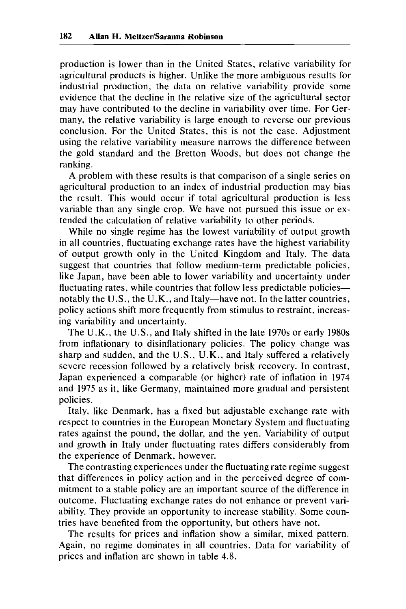production is lower than in the United States, relative variability for agricultural products is higher. Unlike the more ambiguous results for industrial production, the data on relative variability provide some evidence that the decline in the relative size of the agricultural sector may have contributed to the decline in variability over time. For Germany, the relative variability is large enough to reverse our previous conclusion. For the United States, this is not the case. Adjustment using the relative variability measure narrows the difference between the gold standard and the Bretton Woods, but does not change the ranking.

A problem with these results is that comparison of a single series on agricultural production to an index of industrial production may bias the result. This would occur if total agricultural production is less variable than any single crop. We have not pursued this issue or extended the calculation of relative variability to other periods.

While no single regime has the lowest variability of output growth in all countries, fluctuating exchange rates have the highest variability of output growth only in the United Kingdom and Italy. The data suggest that countries that follow medium-term predictable policies, like Japan, have been able to lower variability and uncertainty under fluctuating rates, while countries that follow less predictable policies notably the U.S., the U.K., and Italy—have not. In the latter countries, policy actions shift more frequently from stimulus to restraint, increasing variability and uncertainty.

The U.K., the **U.S.,** and Italy shifted in the late 1970s or early 1980s from inflationary to disinflationary policies. The policy change was sharp and sudden, and the U.S., U.K., and Italy suffered a relatively severe recession followed by a relatively brisk recovery. In contrast, Japan experienced a comparable (or higher) rate of inflation in 1974 and 1975 as it, like Germany, maintained more gradual and persistent policies.

Italy, like Denmark, has a fixed but adjustable exchange rate with respect to countries in the European Monetary System and fluctuating rates against the pound, the dollar, and the yen. Variability of output and growth in Italy under fluctuating rates differs considerably from the experience of Denmark, however.

The contrasting experiences under the fluctuating rate regime suggest that differences in policy action and in the perceived degree of commitment to a stable policy are an important source of the difference in outcome. Fluctuating exchange rates do not enhance or prevent variability. They provide an opportunity to increase stability. Some countries have benefited from the opportunity, but others have not.

The results for prices and inflation show a similar, mixed pattern. Again, no regime dominates in all countries. Data for variability of prices and inflation are shown in table 4.8.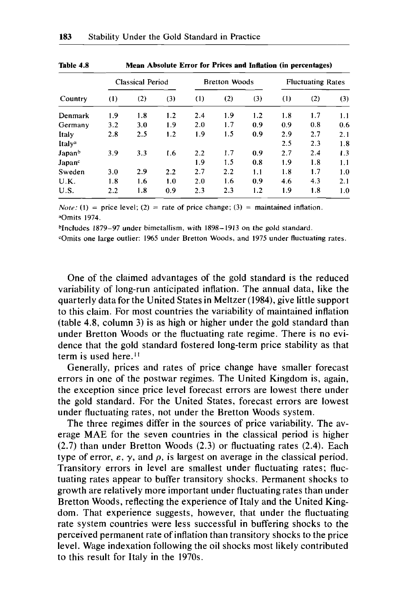| Country            | Classical Period |     |     | <b>Bretton Woods</b> |     |     | <b>Fluctuating Rates</b> |     |     |
|--------------------|------------------|-----|-----|----------------------|-----|-----|--------------------------|-----|-----|
|                    | (1)              | (2) | (3) | (1)                  | (2) | (3) | $\left(1\right)$         | (2) | (3) |
| Denmark            | 1.9              | 1.8 | 1.2 | 2.4                  | 1.9 | 1.2 | 1.8                      | 1.7 | 1.1 |
| Germany            | 3.2              | 3.0 | 1.9 | 2.0                  | 1.7 | 0.9 | 0.9                      | 0.8 | 0.6 |
| Italy              | 2.8              | 2.5 | 1.2 | 1.9                  | 1.5 | 0.9 | 2.9                      | 2.7 | 2.1 |
| Italy <sup>a</sup> |                  |     |     |                      |     |     | 2.5                      | 2.3 | 1.8 |
| Japan <sup>b</sup> | 3.9              | 3.3 | 1.6 | 2.2                  | 1.7 | 0.9 | 2.7                      | 2.4 | 1.3 |
| Japanc             |                  |     |     | 1.9                  | 1.5 | 0.8 | 1.9                      | 1.8 | 1.1 |
| Sweden             | 3.0              | 2.9 | 2.2 | 2.7                  | 2.2 | 1.1 | 1.8                      | 1.7 | 1.0 |
| U.K.               | 1.8              | 1.6 | 1.0 | 2.0                  | 1.6 | 0.9 | 4.6                      | 4.3 | 2.1 |
| U.S.               | 2.2              | 1.8 | 0.9 | 2.3                  | 2.3 | 1.2 | 1.9                      | 1.8 | 1.0 |

**Table 4.8 Mean Absolute Error for Prices and Inflation (in percentages)** 

*Note:* (1) = price level; (2) = rate of price change; (3) = maintained inflation. <sup>a</sup>Omits 1974.

bIncludes 1879-97 under bimetallism, with 1898- 1913 on the gold standard.

'Omits one large outlier: 1965 under Bretton Woods, and 1975 under fluctuating rates.

One of the claimed advantages of the gold standard is the reduced variability of long-run anticipated inflation. The annual data, like the quarterly data for the United States in Meltzer **(1984),** give little support to this claim. For most countries the variability of maintained inflation (table 4.8, column 3) is as high or higher under the gold standard than under Bretton Woods or the fluctuating rate regime. There is no evidence that the gold standard fostered long-term price stability as that term is used here.<sup>11</sup>

Generally, prices and rates of price change have smaller forecast errors in one of the postwar regimes. The United Kingdom **is,** again, the exception since price level forecast errors are lowest there under the gold standard. For the United States, forecast errors are lowest under fluctuating rates, not under the Bretton Woods system.

The three regimes differ in the sources of price variability. The average MAE for the seven countries in the classical period is higher (2.7) than under Bretton Woods (2.3) or fluctuating rates (2.4). Each type of error,  $\varepsilon$ ,  $\gamma$ , and  $\rho$ , is largest on average in the classical period. Transitory errors in level are smallest under fluctuating rates; fluctuating rates appear to buffer transitory shocks. Permanent shocks to growth are relatively more important under fluctuating rates than under Bretton Woods, reflecting the experience of Italy and the United Kingdom. That experience suggests, however, that under the fluctuating rate system countries were less successful in buffering shocks to the perceived permanent rate of inflation than transitory shocks to the price level. Wage indexation following the oil shocks most likely contributed to this result for Italy in the 1970s.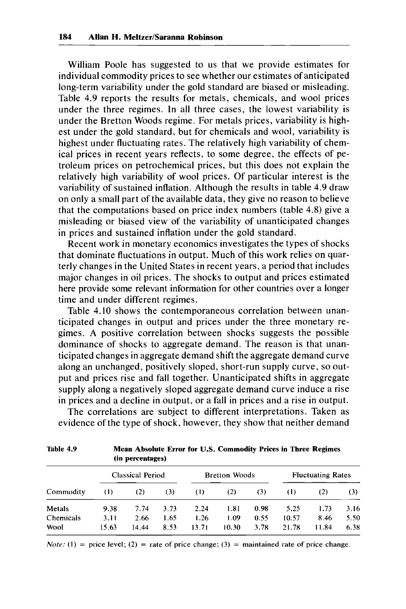William Poole has suggested to us that we provide estimates for individual commodity prices to see whether our estimates of anticipated long-term variability under the gold standard are biased or misleading. Table **4.9** reports the results for metals, chemicals, and wool prices under the three regimes. In all three cases, the lowest variability is under the Bretton Woods regime. For metals prices, variability is highest under the gold standard, but for chemicals and wool, variability is highest under fluctuating rates. The relatively high variability of chemical prices in recent years reflects, to some degree, the effects of petroleum prices on petrochemical prices, but this does not explain the relatively high variability of wool prices. Of particular interest is the variability of sustained inflation. Although the results in table **4.9** draw on only a small part of the available data, they give no reason to believe that the computations based on price index numbers (table **4.8)** give a misleading or biased view of the variability of unanticipated changes in prices and sustained inflation under the gold standard.

Recent work in monetary economics investigates the types of shocks that dominate fluctuations in output. Much of this work relies on quarterly changes in the United States in recent years, a period that includes major changes in oil prices. The shocks to output and prices estimated here provide some relevant information for other countries over a longer time and under different regimes.

Table **4.10** shows the contemporaneous correlation between unanticipated changes in output and prices under the three monetary regimes. **A** positive correlation between shocks suggests the possible dominance of shocks to aggregate demand. The reason is that unanticipated changes in aggregate demand shift the aggregate demand curve along an unchanged, positively sloped, short-run supply curve, so output and prices rise and fall together. Unanticipated shifts in aggregate supply along a negatively sloped aggregate demand curve induce a rise in prices and a decline in output, or a fall in prices and a rise in output.

The correlations are subject to different interpretations. Taken as evidence of the type of shock, however, they show that neither demand

|           | (in percentages)        |       |      |                      |       |      |                          |       |      |  |  |  |
|-----------|-------------------------|-------|------|----------------------|-------|------|--------------------------|-------|------|--|--|--|
| Commodity | <b>Classical Period</b> |       |      | <b>Bretton Woods</b> |       |      | <b>Fluctuating Rates</b> |       |      |  |  |  |
|           | (1)                     | (2)   | (3)  | (1)                  | (2)   | (3)  | $\left(1\right)$         | (2)   | (3)  |  |  |  |
| Metals    | 9.38                    | 7.74  | 3.73 | 2.24                 | 1.81  | 0.98 | 5.25                     | 1.73  | 3.16 |  |  |  |
| Chemicals | 3.11                    | 2.66  | 1.65 | 1.26                 | 1.09  | 0.55 | 10.57                    | 8.46  | 5.50 |  |  |  |
| Wool      | 15.63                   | 14.44 | 8.53 | 13.71                | 10.30 | 3.78 | 21.78                    | 11.84 | 6.38 |  |  |  |

**Table 4.9 Mean Absolute Error for U.S. Commodity Prices in Three Regimes** 

*Note:* (1) = price level; (2) = rate of price change; (3) = maintained rate of price change.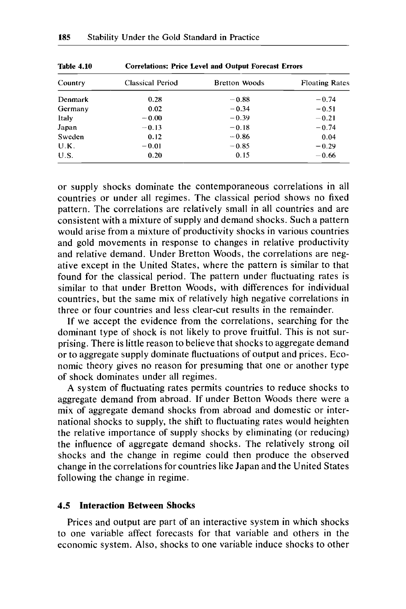| Country | Classical Period | <b>Bretton Woods</b> | <b>Floating Rates</b> |  |  |  |  |  |  |
|---------|------------------|----------------------|-----------------------|--|--|--|--|--|--|
| Denmark | 0.28             | $-0.88$              | $-0.74$               |  |  |  |  |  |  |
| Germany | 0.02             | $-0.34$              | $-0.51$               |  |  |  |  |  |  |
| Italy   | $-0.00$          | $-0.39$              | $-0.21$               |  |  |  |  |  |  |
| Japan   | $-0.13$          | $-0.18$              | $-0.74$               |  |  |  |  |  |  |
| Sweden  | 0.12             | $-0.86$              | 0.04                  |  |  |  |  |  |  |
| U.K.    | $-0.01$          | $-0.85$              | $-0.29$               |  |  |  |  |  |  |
| U.S.    | 0.20             | 0.15                 | $-0.66$               |  |  |  |  |  |  |
|         |                  |                      |                       |  |  |  |  |  |  |

**Table 4.10 Correlations: Price Level and Output Forecast Errors** 

or supply shocks dominate the contemporaneous correlations in all countries or under all regimes. The classical period shows no fixed pattern. The correlations are relatively small in all countries and are consistent with a mixture of supply and demand shocks. Such a pattern would arise from a mixture of productivity shocks in various countries and gold movements in response to changes in relative productivity and relative demand. Under Bretton Woods, the correlations are negative except in the United States, where the pattern is similar to that found for the classical period. The pattern under fluctuating rates is similar to that under Bretton Woods, with differences for individual countries, but the same mix of relatively high negative correlations in three or four countries and less clear-cut results in the remainder.

If we accept the evidence from the correlations, searching for the dominant type of shock is not likely to prove fruitful. This is not surprising. There is little reason to believe that shocks to aggregate demand or to aggregate supply dominate fluctuations of output and prices. Economic theory gives no reason for presuming that one or another type of shock dominates under all regimes.

A system of fluctuating rates permits countries to reduce shocks to aggregate demand from abroad. If under Betton Woods there were a mix of aggregate demand shocks from abroad and domestic or international shocks to supply, the shift to fluctuating rates would heighten the relative importance of supply shocks by eliminating (or reducing) the influence of aggregate demand shocks. The relatively strong oil shocks and the change in regime could then produce the observed change in the correlations for countries like Japan and the United States following the change in regime.

### **4.5 interaction Between Shocks**

Prices and output are part of an interactive system in which shocks to one variable affect forecasts for that variable and others in the economic system. Also, shocks to one variable induce shocks to other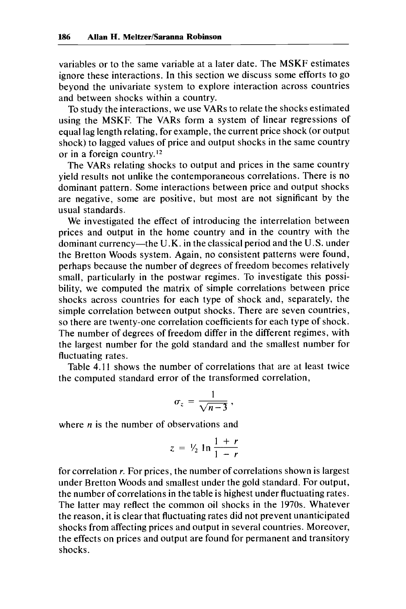variables or to the same variable at a later date. The MSKF estimates ignore these interactions. In this section we discuss some efforts to go beyond the univariate system to explore interaction across countries and between shocks within a country.

To study the interactions, we use VARs to relate the shocks estimated using the MSKF. The VARs form a system of linear regressions of equal lag length relating, for example, the current price shock (or output shock) to lagged values of price and output shocks in the same country or in a foreign country.12

The VARs relating shocks to output and prices in the same country yield results not unlike the contemporaneous correlations. There is no dominant pattern. Some interactions between price and output shocks are negative, some are positive, but most are not significant by the usual standards.

We investigated the effect of introducing the interrelation between prices and output in the home country and in the country with the dominant currency—the U.K. in the classical period and the U.S. under the Bretton Woods system. Again, no consistent patterns were found, perhaps because the number of degrees of freedom becomes relatively small, particularly in the postwar regimes. To investigate this possibility, we computed the matrix of simple correlations between price shocks across countries for each type of shock and, separately, the simple correlation between output shocks. There are seven countries, so there are twenty-one correlation coefficients for each type of shock. The number of degrees of freedom differ in the different regimes, with the largest number for the gold standard and the smallest number for fluctuating rates.

Table **4.11** shows the number of correlations that are at least twice the computed standard error of the transformed correlation,

$$
\sigma_z = \frac{1}{\sqrt{n-3}} \,,
$$

where *n* is the number of observations and

$$
z = \frac{1}{2} \ln \frac{1+r}{1-r}
$$

for correlation *r.* For prices, the number of correlations shown is largest under Bretton Woods and smallest under the gold standard. For output, the number of correlations in the table is highest under fluctuating rates. The latter may reflect the common oil shocks in the **1970s.** Whatever the reason, it is clear that fluctuating rates did not prevent unanticipated shocks from affecting prices and output in several countries. Moreover, the effects on prices and output are found for permanent and transitory shocks.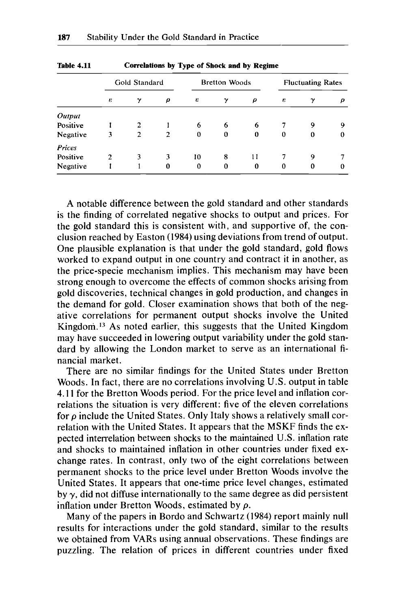|          | Gold Standard  |                |   | <b>Bretton Woods</b> |          |          | <b>Fluctuating Rates</b> |          |   |
|----------|----------------|----------------|---|----------------------|----------|----------|--------------------------|----------|---|
|          | ε              | γ              | ρ | ε                    | γ        | ρ        | ε                        | $\gamma$ | ρ |
| Output   |                |                |   |                      |          |          |                          |          |   |
| Positive |                | 2              |   | 6                    | 6        | 6        |                          | 9        | 9 |
| Negative | 3              | $\overline{2}$ | 2 | $\bf{0}$             | $\bf{0}$ | $\bf{0}$ | 0                        | $\bf{0}$ | 0 |
| Prices   |                |                |   |                      |          |          |                          |          |   |
| Positive | $\overline{2}$ | 3              | 3 | 10                   | 8        | 11       |                          | 9        |   |
| Negative |                |                | 0 | $\bf{0}$             | 0        | $\bf{0}$ | 0                        | $\Omega$ | 0 |

| Table 4.11 | Correlations by Type of Shock and by Regime |  |  |  |  |
|------------|---------------------------------------------|--|--|--|--|
|------------|---------------------------------------------|--|--|--|--|

**A** notable difference between the gold standard and other standards is the finding of correlated negative shocks to output and prices. For the gold standard this is consistent with, and supportive of, the conclusion reached by Easton (1984) using deviations from trend of output. One plausible explanation is that under the gold standard, gold flows worked to expand output in one country and contract it in another, as the price-specie mechanism implies. This mechanism may have been strong enough to overcome the effects of common shocks arising from gold discoveries, technical changes in gold production, and changes in the demand for gold. Closer examination shows that both of the negative correlations for permanent output shocks involve the United Kingdom.I3 **As** noted earlier, this suggests that the United Kingdom may have succeeded in lowering output variability under the gold standard by allowing the London market to serve as an international financial market.

There are no similar findings for the United States under Bretton Woods. In fact, there are no correlations involving U.S. output in table 4.11 for the Bretton Woods period. For the price level and inflation correlations the situation is very different: five of the eleven correlations for *p* include the United States. Only Italy shows a relatively small correlation with the United States. It appears that the **MSKF** finds the expected interrelation between shocks to the maintained **U.S.** inflation rate and shocks to maintained inflation in other countries under fixed exchange rates. In contrast, only two of the eight correlations between permanent shocks to the price level under Bretton Woods involve the United States. It appears that one-time price level changes, estimated by  $\gamma$ , did not diffuse internationally to the same degree as did persistent inflation under Bretton Woods, estimated by *p.* 

Many of the papers in Bordo and Schwartz (1984) report mainly null results for interactions under the gold standard, similar to the results we obtained from **VARs** using annual observations. These findings are puzzling. The relation of prices in different countries under fixed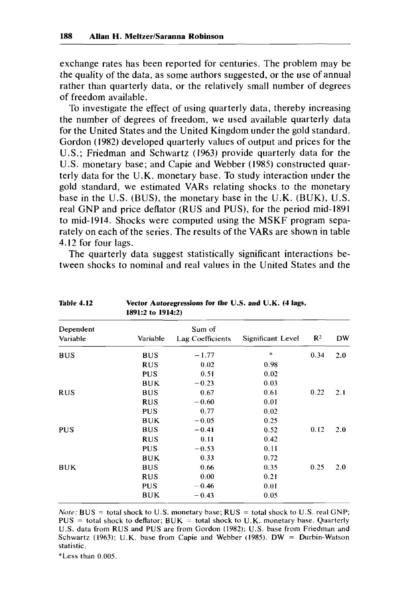exchange rates has been reported for centuries. The problem may be the quality of the data, as some authors suggested, or the use of annual rather than quarterly data, or the relatively small number of degrees of freedom available.

To investigate the effect of using quarterly data, thereby increasing the number of degrees of freedom, we used available quarterly data for the United States and the United Kingdom under the gold standard. Gordon (1982) developed quarterly values of output and prices for the U.S.; Friedman and Schwartz **(1963)** provide quarterly data for the U.S. monetary base; and Capie and Webber **(1985)** constructed quarterly data for the U.K. monetary base. To study interaction under the gold standard, we estimated **VARs** relating shocks to the monetary base in the U.S. (BUS), the monetary base in the U.K. (BUK), U.S. real GNP and price deflator (RUS and PUS), for the period mid-1891 to mid-1914. Shocks were computed using the MSKF program separately on each of the series. The results of the **VARs** are shown in table 4.12 for four lags.

The quarterly data suggest statistically significant interactions between shocks to nominal and real values in the United States and the

| Dependent<br>Variable | Variable   | Sum of<br>Lag Coefficients | Significant Level | $\mathbb{R}^2$ | <b>DW</b> |
|-----------------------|------------|----------------------------|-------------------|----------------|-----------|
| <b>BUS</b>            | <b>BUS</b> | $-1.77$                    | ∗                 | 0.34           | 2.0       |
|                       | <b>RUS</b> | 0.02                       | 0.98              |                |           |
|                       | <b>PUS</b> | 0.51                       | 0.02              |                |           |
|                       | BUK        | $-0.23$                    | 0.03              |                |           |
| <b>RUS</b>            | <b>BUS</b> | 0.67                       | 0.61              | 0.22           | 2.1       |
|                       | <b>RUS</b> | $-0.60$                    | 0.01              |                |           |
|                       | <b>PUS</b> | 0.77                       | 0.02              |                |           |
|                       | <b>BUK</b> | $-0.05$                    | 0.25              |                |           |
| PUS                   | <b>BUS</b> | $-0.41$                    | 0.52              | 0.12           | 2.0       |
|                       | <b>RUS</b> | 0.11                       | 0.42              |                |           |
|                       | PUS        | $-0.53$                    | 0.11              |                |           |
|                       | <b>BUK</b> | 0.33                       | 0.72              |                |           |
| <b>BUK</b>            | <b>BUS</b> | 0.66                       | 0.35              | 0.25           | 2.0       |
|                       | <b>RUS</b> | 0.00                       | 0.21              |                |           |
|                       | <b>PUS</b> | $-0.46$                    | 0.01              |                |           |
|                       | BUK        | $-0.43$                    | 0.05              |                |           |

**Table 4.12 Vector Autoregressions for the U.S. and U.K. (4 lags,**  1891:2 to 1914:2)

*Note:*  $BUS =$  total shock to U.S. monetary base;  $RUS =$  total shock to U.S. real GNP; PUS = total shock to deflator; BUK = total shock to U.K. monetary base. Quarterly U.S. data from RUS and PUS are from Gordon (1982): U.S. base from Friedman and Schwartz (1963); U.K. base from Capie and Webber (1985). DW = Durbin-Watson statistic.

\*Less than 0.005.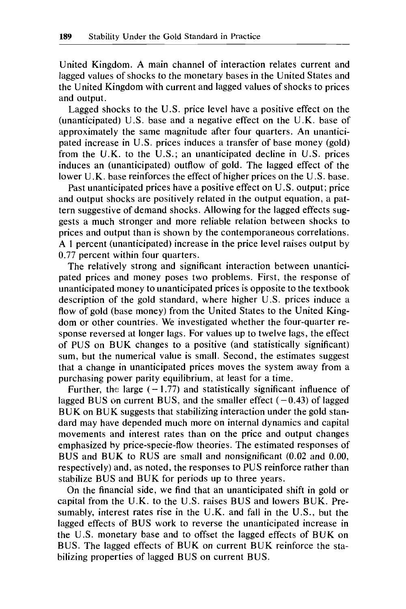United Kingdom. A main channel of interaction relates current and lagged values of shocks to the monetary bases in the United States and the United Kingdom with current and lagged values of shocks to prices and output.

Lagged shocks to the U.S. price level have a positive effect on the (unanticipated) **U.S.** base and a negative effect on the U.K. base of approximately the same magnitude after four quarters. An unanticipated increase in **U.S.** prices induces a transfer of base money (gold) from the U.K. to the U.S.; an unanticipated decline in **U.S.** prices induces an (unanticipated) outflow of gold. The lagged effect of the lower U.K. base reinforces the effect of higher prices on the **U.S.** base.

Past unanticipated prices have a positive effect on U.S. output; price and output shocks are positively related in the output equation, a pattern suggestive of demand shocks. Allowing for the lagged effects suggests a much stronger and more reliable relation between shocks to prices and output than is shown by the contemporaneous correlations. A 1 percent (unanticipated) increase in the price level raises output by 0.77 percent within four quarters.

The relatively strong and significant interaction between unanticipated prices and money poses two problems. First, the response of unanticipated money to unanticipated prices is opposite to the textbook description of the gold standard, where higher U.S. prices induce a flow of gold (base money) from the United States to the United Kingdom or other countries. We investigated whether the four-quarter response reversed at longer lags. For values up to twelve lags, the effect of PUS on BUK changes to a positive (and statistically significant) sum, but the numerical value is small. Second, the estimates suggest that a change in unanticipated prices moves the system away from a purchasing power parity equilibrium, at least for a time.

Further, the large  $(-1.77)$  and statistically significant influence of lagged BUS on current BUS, and the smaller effect  $(-0.43)$  of lagged BUK on BUK suggests that stabilizing interaction under the gold standard may have depended much more on internal dynamics and capital movements and interest rates than on the price and output changes emphasized by price-specie-flow theories. The estimated responses of BUS and BUK to **RUS** are small and nonsignificant **(0.02** and 0.00, respectively) and, as noted, the responses to PUS reinforce rather than stabilize BUS and BUK for periods up to three years.

On the financial side, we find that an unanticipated shift in gold or capital from the U.K. to the U.S. raises BUS and lowers BUK. Presumably, interest rates rise in the U.K. and fall in the **U.S.,** but the lagged effects of BUS work to reverse the unanticipated increase in the **U.S.** monetary base and to offset the lagged effects of BUK on BUS. The lagged effects of BUK on current BUK reinforce the stabilizing properties of lagged BUS on current BUS.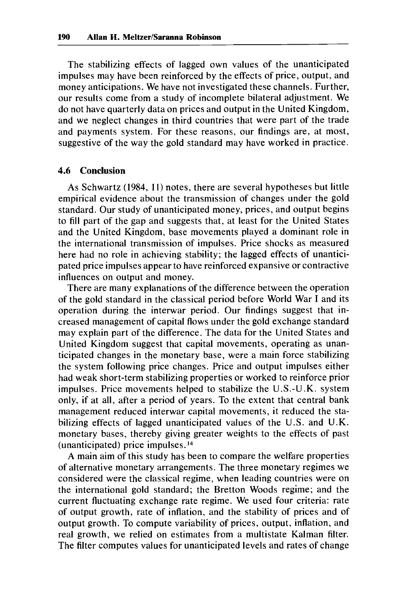The stabilizing effects of lagged own values of the unanticipated impulses may have been reinforced by the effects of price, output, and money anticipations. We have not investigated these channels. Further, our results come from a study of incomplete bilateral adjustment. We do not have quarterly data on prices and output in the United Kingdom, and we neglect changes in third countries that were part of the trade and payments system. For these reasons, our findings are, at most, suggestive of the way the gold standard may have worked in practice.

### **4.6 Conclusion**

**As** Schwartz **(1984, 11)** notes, there are several hypotheses but little empirical evidence about the transmission of changes under the gold standard. Our study of unanticipated money, prices, and output begins to fill part of the gap and suggests that, at least for the United States and the United Kingdom, base movements played a dominant role in the international transmission of impulses. Price shocks as measured here had no role in achieving stability; the lagged effects of unanticipated price impulses appear to have reinforced expansive or contractive influences on output and money.

There are many explanations of the difference between the operation of the gold standard in the classical period before World War I and its operation during the interwar period. Our findings suggest that increased management of capital flows under the gold exchange standard may explain part of the difference. The data for the United States and United Kingdom suggest that capital movements, operating as unanticipated changes in the monetary base, were a main force stabilizing the system following price changes. Price and output impulses either had weak short-term stabilizing properties or worked to reinforce prior impulses. Price movements helped to stabilize the U.S.-U.K. system only, if at all, after a period of years. To the extent that central bank management reduced interwar capital movements, it reduced the stabilizing effects of lagged unanticipated values of the U.S. and U.K. monetary bases, thereby giving greater weights to the effects of past (unanticipated) price impulses. **I4** 

**A** main aim of this study has been to compare the welfare properties of alternative monetary arrangements. The three monetary regimes we considered were the classical regime, when leading countries were on the international gold standard; the Bretton Woods regime; and the current fluctuating exchange rate regime. We used four criteria: rate of output growth, rate of inflation, and the stability of prices and of output growth. To compute variability of prices, output, inflation, and real growth, we relied on estimates from a multistate Kalman filter. The filter computes values for unanticipated levels and rates of change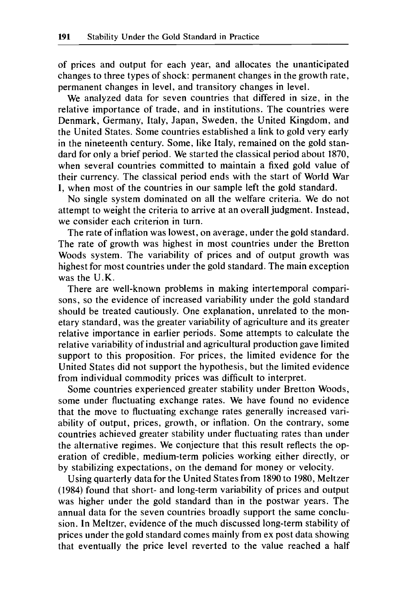of prices and output for each year, and allocates the unanticipated changes to three types of shock: permanent changes in the growth rate, permanent changes in level, and transitory changes in level.

We analyzed data for seven countries that differed in size, in the relative importance of trade, and in institutions. The countries were Denmark, Germany, Italy, Japan, Sweden, the United Kingdom, and the United States. Some countries established a link to gold very early in the nineteenth century. Some, like Italy, remained on the gold standard for only a brief period. We started the classical period about **1870,**  when several countries committed to maintain a fixed gold value of their currency. The classical period ends with the start of World War I, when most of the countries in our sample left the gold standard.

No single system dominated on all the welfare criteria. We do not attempt to weight the criteria to arrive at an overall judgment. Instead, we consider each criterion in turn.

The rate of inflation was lowest, on average, under the gold standard. The rate of growth was highest in most countries under the Bretton Woods system. The variability of prices and of output growth was highest for most countries under the gold standard. The main exception was the U.K.

There are well-known problems in making intertemporal comparisons, so the evidence of increased variability under the gold standard should be treated cautiously. One explanation, unrelated to the monetary standard, was the greater variability of agriculture and its greater relative importance in earlier periods. Some attempts to calculate the relative variability of industrial and agricultural production gave limited support to this proposition. For prices, the limited evidence for the United States did not support the hypothesis, but the limited evidence from individual commodity prices was difficult to interpret.

Some countries experienced greater stability under Bretton Woods, some under fluctuating exchange rates. We have found no evidence that the move to fluctuating exchange rates generally increased variability of output, prices, growth, or inflation. On the contrary, some countries achieved greater stability under fluctuating rates than under the alternative regimes. We conjecture that this result reflects the operation of credible, medium-term policies working either directly, or by stabilizing expectations, on the demand for money or velocity.

Using quarterly data for the United States from **1890** to **1980,** Meltzer **(1984)** found that short- and long-term variability of prices and output was higher under the gold standard than in the postwar years. The annual data for the seven countries broadly support the same conclusion. In Meltzer, evidence of the much discussed long-term stability of prices under the gold standard comes mainly from ex post data showing that eventually the price level reverted to the value reached a half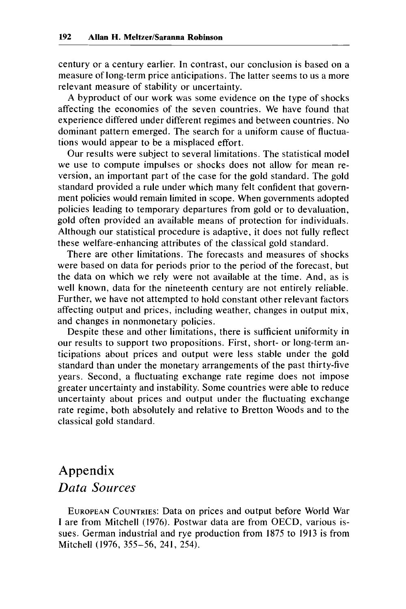century or a century earlier. In contrast, our conclusion is based on a measure of long-term price anticipations. The latter seems to **us** a more relevant measure of stability or uncertainty.

A byproduct of our work was some evidence on the type of shocks affecting the economies of the seven countries. We have found that experience differed under different regimes and between countries. No dominant pattern emerged. The search for a uniform cause of fluctuations would appear to be a misplaced effort.

Our results were subject to several limitations. The statistical model we use to compute impulses or shocks does not allow for mean reversion, an important part of the case for the gold standard. The gold standard provided a rule under which many felt confident that government policies would remain limited in scope. When governments adopted policies leading to temporary departures from gold or to devaluation, gold often provided an available means of protection for individuals. Although our statistical procedure is adaptive, it does not fully reflect these welfare-enhancing attributes of the classical gold standard.

There are other limitations. The forecasts and measures of shocks were based on data for periods prior to the period of the forecast, but the data on which we rely were not available at the time. And, as **is**  well known, data for the nineteenth century are not entirely reliable. Further, we have not attempted to hold constant other relevant factors affecting output and prices, including weather, changes in output mix, and changes in nonmonetary policies.

Despite these and other limitations, there is sufficient uniformity in our results to support two propositions. First, short- or long-term anticipations about prices and output were less stable under the gold standard than under the monetary arrangements of the past thirty-five years. Second, a fluctuating exchange rate regime does not impose greater uncertainty and instability. Some countries were able to reduce uncertainty about prices and output under the fluctuating exchange rate regime, both absolutely and relative to Bretton Woods and to the classical gold standard.

## **Appendix**  *Data Sources*

**EUROPEAN COUNTRIES:** Data on prices and output before World War **I** are from Mitchell (1976). Postwar data are from OECD, various issues. German industrial and rye production from 1875 to 1913 is from Mitchell (1976, 355-56, 241, 254).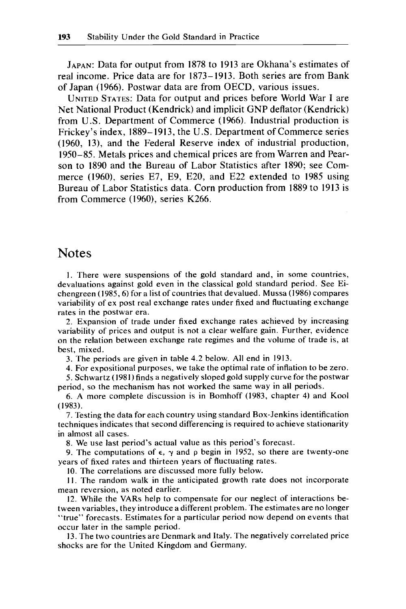**JAPAN:** Data for output from **1878** to **1913** are Okhana's estimates of real income. Price data are for **1873-1913.** Both series are from Bank of Japan **(1966).** Postwar data are from OECD, various issues.

**UNITED STATES:** Data for output and prices before World War **I** are Net National Product (Kendrick) and implicit GNP deflator (Kendrick) from **U.S.** Department of Commerce **(1966).** Industrial production is Frickey's index, **1889-1913,** the **U.S.** Department of Commerce series **(1960, 13),** and the Federal Reserve index of industrial production, **1950-85.** Metals prices and chemical prices are from Warren and Pearson to **1890** and the Bureau of Labor Statistics after **1890;** see Commerce **(1960),** series E7, **E9,** E20, and E22 extended to **1985** using Bureau of Labor Statistics data. Corn production from **1889** to **1913** is from Commerce **(1960),** series **K266.** 

### Notes

1. There were suspensions of the gold standard and, in some countries, devaluations against gold even in the classical gold standard period. See Eichengreen **(1985,6)** for a list of countries that devalued. Mussa **(1986)** compares variability of ex post real exchange rates under fixed and fluctuating exchange rates in the postwar era.

**2.** Expansion of trade under fixed exchange rates achieved by increasing variability of prices and output is not a clear welfare gain. Further, evidence on the relation between exchange rate regimes and the volume of trade is, at best, mixed.

**3.** The periods are given in table **4.2** below. **All** end in **1913.** 

**4.** For expositional purposes, we take the optimal rate of inflation to be zero.

5. Schwartz **(1981)** finds a negatively sloped gold supply curve for the postwar period, so the mechanism has not worked the same way in all periods.

**6. A** more complete discussion is in Bomhoff **(1983,** chapter **4)** and **Kool (1983).** 

7. Testing the data for each country using standard Box-Jenkins identification techniques indicates that second differencing is required to achieve stationarity in almost all cases.

**8.** We use last period's actual value as this period's forecast.

**9.** The computations of  $\epsilon$ ,  $\gamma$  and  $\rho$  begin in 1952, so there are twenty-one years of fixed rates and thirteen years of fluctuating rates.

10. The correlations are discussed more fully below.

**11.** The random walk in the anticipated growth rate does not incorporate mean reversion, as noted earlier.

**12.** While the **VARs** help to compensate for our neglect of interactions between variables, they introduce a different problem. The estimates are no longer "true" forecasts. Estimates for a particular period now depend on events that occur later in the sample period.

**13.** The two countries are Denmark and Italy. The negatively correlated price shocks are for the United Kingdom and Germany.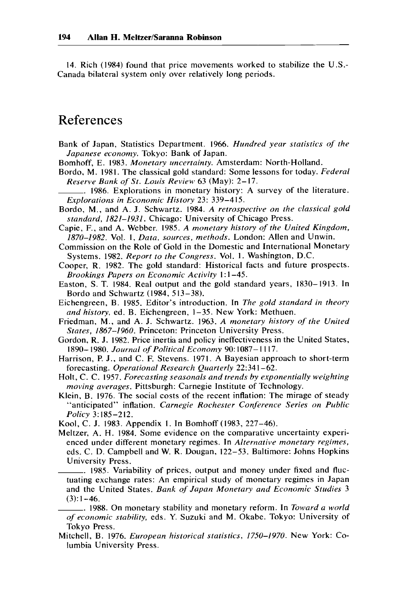14. Rich (1984) found that price movements worked to stabilize the **U.S.-**  Canada bilateral system only over relatively long periods.

## References

Bank of Japan, Statistics Department. 1966. *Hundred year statistics of the Japanese economy.* Tokyo: Bank of Japan.

Bomhoff, E. 1983. *Monetary uncertainty.* Amsterdam: North-Holland.

- Bordo, M. 1981. The classical gold standard: Some lessons for today. *Federal Reserve Bank of St. Louis Review* 63 (May): 2-17.
- -. 1986. Explorations in monetary history: **A** survey of the literature. *Explorations in Economic History* 23: 339-415.
- Bordo, M., and **A.** J. Schwartz. 1984. A *retrospective on the classical gold standard, 1821-1931.* Chicago: University of Chicago Press.
- Capie, F., and A. Webber. 1985. A *monetary history* of *the United Kingdom, 1870-1982.* Vol. **I,** *Data, sources, methods.* London: Allen and Unwin.
- Commission on the Role of Gold in the Domestic and International Monetary Systems. 1982. *Report to the Congress.* Vol. 1. Washington, D.C.
- Cooper, R. 1982. The gold standard: Historical facts and future prospects. *Brookings Papers on Economic Activity* **I** : 1-45.
- Easton. S. **T.** 1984. Real output and the gold standard years, 1830-1913. In Bordo and Schwartz (1984, 513-38).
- Eichengreen, B. 1985. Editor's introduction. In *The gold standard in theory and history,* ed. B. Eichengreen, 1-35. New York: Methuen.
- Friedman, M., and A. J. Schwartz. 1963. *A monetary history of the United States, 1867-1960.* Princeton: Princeton University Press.
- Gordon, R. J. 1982. Price inertia and policy ineffectiveness in the United States, 1890- 1980. *Journul of Political Economy* 90: 1087- 11 17.
- Harrison, P. J., and C. F. Stevens. 1971. A Bayesian approach to short-term forecasting. *Operational Research Quarterly* 22:341-62.
- Holt, C. C. 1957. *Forecasting seasonals and trends by exponentially weighting moving averages.* Pittsburgh: Carnegie Institute of Technology.
- Klein, B. 1976. The social costs of the recent inflation: The mirage of steady "anticipated" inflation. *Carnegie Rochester Conference Series on Public Policy* 3:185-212.

Kool, C. J. 1983. Appendix 1. In Bomhoff (1983, 227-46).

Meltzer, A. H. 1984. Some evidence on the comparative uncertainty experienced under different monetary regimes. In *Alternative monetary regimes,*  eds. C. D. Campbell and W. R. Dougan, 122-53. Baltimore: Johns Hopkins University Press.

-. 1985. Variability of prices, output and money under fixed and fluctuating exchange rates: An empirical study of monetary regimes in Japan and the United States. *Bank of Japan Monetary and Economic Studies* 3  $(3): 1-46.$ 

-. 1988. On monetary stability and monetary reform. In *Toward a world of economic stability,* eds. *Y.* Suzuki and M. Okabe. Tokyo: University of Tokyo Press.

Mitchell, B. 1976. *European historical statistics, 1750-1970.* New York: Columbia University Press.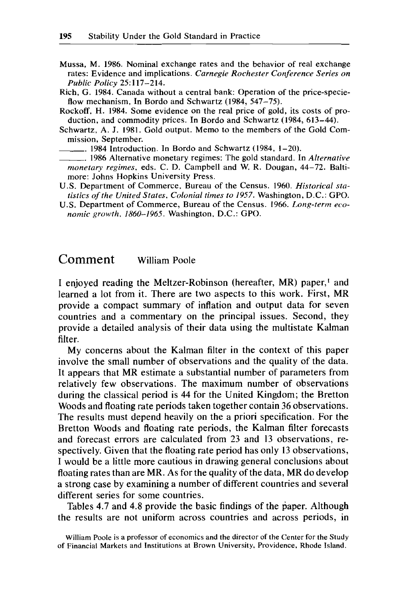- Mussa, M. **1986.** Nominal exchange rates and the behavior of real exchange rates: Evidence and implications. *Carnegie Rochester Conference Series on Public Policy* **25:117-214.**
- Rich, G. **1984.** Canada without a central bank: Operation of the price-specieflow mechanism, In Bordo and Schwartz **(1984, 547-75).**
- Rockoff, H. **1984.** Some evidence on the real price of gold, its costs of production, and commodity prices. In Bordo and Schwartz **(1984, 613-44).**
- Schwartz, **A.** J. **1981.** Gold output. Memo to the members of the Gold Commission, September.
	- -. **1984** Introduction. In Bordo and Schwartz **(1984, 1-20).**
- -. **1986** Alternative monetary regimes: The gold standard. In *Alternative monetary regimes,* eds. C. D. Campbell and W. R. Dougan, **44-72.** Baltimore: Johns Hopkins University Press.
- U.S. Department of Commerce, Bureau of the Census. **1960.** *Historical statistics of the United States, Colonial times to 1957.* Washington, D.C.: GPO.
- **U.S.** Department of Commerce, Bureau of the Census. **1966.** *Long-term economic growth, 1860-1965.* Washington, D.C.: GPO.

### Comment William Poole

I enjoyed reading the Meltzer-Robinson (hereafter, MR) paper,' and learned a lot from it. There are two aspects to this work. First, MR provide a compact summary of inflation and output data for seven countries and a commentary on the principal issues. Second, they provide a detailed analysis of their data using the multistate Kalman filter.

My concerns about the Kalman filter in the context of this paper involve the small number of observations and the quality of the data. It appears that MR estimate a substantial number of parameters from relatively few observations. The maximum number of observations during the classical period is **44 for** the United Kingdom; the Bretton Woods and floating rate periods taken together contain **36** observations. The results must depend heavily on the a priori specification. For the Bretton Woods and floating rate periods, the Kalman filter forecasts and forecast errors are calculated from *23* and 13 observations, respectively. Given that the floating rate period has only **13** observations, I would be a little more cautious in drawing general conclusions about floating rates than are MR. **As** for the quality of the data, MR do develop a strong case by examining a number of different countries and several different series for some countries.

Tables 4.7 and **4.8** provide the basic findings of the paper. Although the results are not uniform across countries and across periods, in

**William Poole is a professor of economics and the director of the Center** for **the Study of Financial Markets and Institutions at Brown University, Providence, Rhode Island.**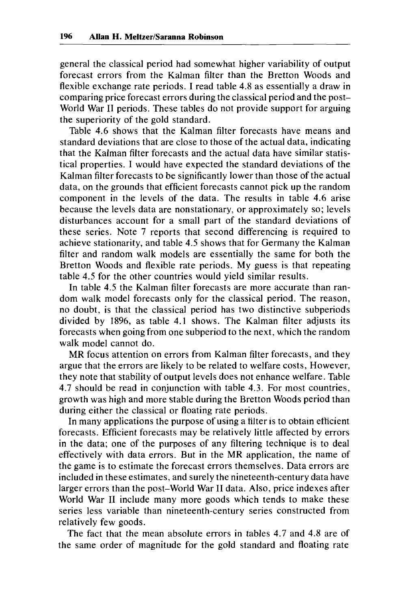general the classical period had somewhat higher variability of output forecast errors from the Kalman filter than the Bretton Woods and flexible exchange rate periods. I read table 4.8 as essentially a draw in comparing price forecast errors during the classical period and the post-World War **I1** periods. These tables do not provide support for arguing the superiority of the gold standard.

Table 4.6 shows that the Kalman filter forecasts have means and standard deviations that are close to those of the actual data, indicating that the Kalman filter forecasts and the actual data have similar statistical properties. I would have expected the standard deviations of the Kalman filter forecasts to be significantly lower than those of the actual data, on the grounds that efficient forecasts cannot pick up the random component in the levels of the data. The results in table 4.6 arise because the levels data are nonstationary, or approximately so; levels disturbances account for a small part of the standard deviations of these series. Note 7 reports that second differencing **is** required to achieve stationarity, and table 4.5 shows that for Germany the Kalman filter and random walk models are essentially the same for both the Bretton Woods and flexible rate periods. **My** guess is that repeating table 4.5 for the other countries would yield similar results.

In table 4.5 the Kalman filter forecasts are more accurate than random walk model forecasts only for the classical period. The reason, no doubt, is that the classical period has two distinctive subperiods divided by 1896, as table 4.1 shows. The Kalman filter adjusts its forecasts when going from one subperiod to the next, which the random walk model cannot do.

MR focus attention on errors from Kalman filter forecasts, and they argue that the errors are likely to be related to welfare costs, However, they note that stability of output levels does not enhance welfare. Table 4.7 should be read in conjunction with table 4.3. For most countries, growth was high and more stable during the Bretton Woods period than during either the classical or floating rate periods.

In many applications the purpose of using a filter **is** to obtain efficient forecasts. Efficient forecasts may be relatively little affected by errors in the data; one of the purposes of any filtering technique is to deal effectively with data errors. But in the MR application, the name of the game is to estimate the forecast errors themselves. Data errors are included in these estimates, and surely the nineteenth-century data have larger errors than the post-World War **I1** data. **Also,** price indexes after World War **I1** include many more goods which tends to make these series less variable than nineteenth-century series constructed from relatively few goods.

The fact that the mean absolute errors in tables 4.7 and 4.8 are of the same order of magnitude for the gold standard and floating rate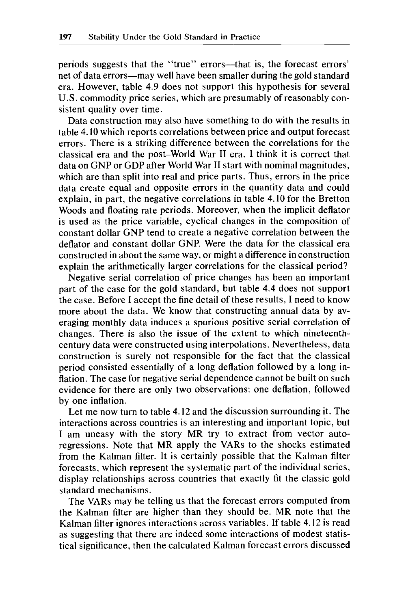periods suggests that the "true" errors—that is, the forecast errors' net of data errors—may well have been smaller during the gold standard era. However, table **4.9** does not support this hypothesis for several **U.S.** commodity price series, which are presumably of reasonably consistent quality over time.

Data construction may also have something to do with the results in table **4.10** which reports correlations between price and output forecast errors. There is a striking difference between the correlations for the classical era and the post-World War I1 era. I think it is correct that data on GNP or GDP after World War I1 start with nominal magnitudes, which are than split into real and price parts. Thus, errors in the price data create equal and opposite errors in the quantity data and could explain, in part, the negative correlations in table **4.10** for the Bretton Woods and floating rate periods. Moreover, when the implicit deflator is used as the price variable, cyclical changes in the composition of constant dollar GNP tend to create a negative correlation between the deflator and constant dollar GNP. Were the data for the classical era constructed in about the same way, or might a difference in construction explain the arithmetically larger correlations for the classical period?

Negative serial correlation of price changes has been an important part of the case for the gold standard, but table **4.4** does not support the case. Before I accept the fine detail of these results, I need to know more about the data. We know that constructing annual data by averaging monthly data induces a spurious positive serial correlation of changes. There is also the issue of the extent to which nineteenthcentury data were constructed using interpolations. Nevertheless, data construction is surely not responsible for the fact that the classical period consisted essentially of a long deflation followed by a long inflation. The case for negative serial dependence cannot be built on such evidence for there are only two observations: one deflation, followed by one inflation.

Let me now turn to table **4.12** and the discussion surrounding it. The interactions across countries is an interesting and important topic, but I am uneasy with the story **MR** try to extract from vector autoregressions. Note that **MR** apply the **VARs** to the shocks estimated from the Kalman filter. It is certainly possible that the Kalman filter forecasts, which represent the systematic part of the individual series, display relationships across countries that exactly fit the classic gold standard mechanisms.

The **VARs** may be telling us that the forecast errors computed from the Kalman filter are higher than they should be. MR note that the Kalman filter ignores interactions across variables. If table **4.12** is read as suggesting that there are indeed some interactions of modest statistical significance, then the calculated Kalman forecast errors discussed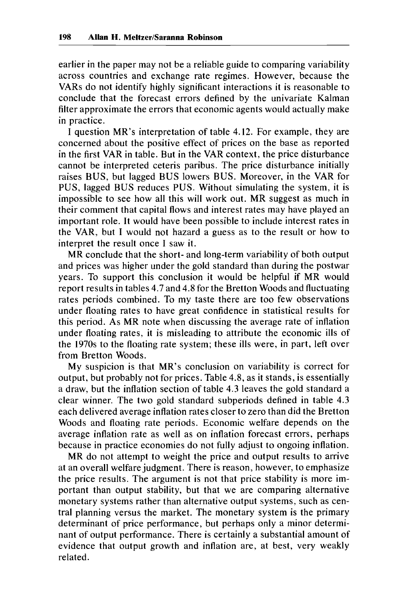earlier in the paper may not be a reliable guide to comparing variability across countries and exchange rate regimes. However, because the VARs do not identify highly significant interactions it is reasonable to conclude that the forecast errors defined by the univariate Kalman filter approximate the errors that economic agents would actually make in practice.

I question MR's interpretation of table 4.12. For example, they are concerned about the positive effect of prices on the base as reported in the first VAR in table. But in the VAR context, the price disturbance cannot be interpreted ceteris paribus. The price disturbance initially raises BUS, but lagged **BUS** lowers **BUS.** Moreover, in the VAR for PUS, lagged BUS reduces PUS. Without simulating the system, it is impossible to see how all this will work out. MR suggest as much in their comment that capital flows and interest rates may have played an important role. It would have been possible to include interest rates in the VAR, but I would not hazard a guess as to the result or how to interpret the result once I saw it.

MR conclude that the short- and long-term variability of both output and prices was higher under the gold standard than during the postwar years. To support this conclusion it would be helpful if MR would report results in tables 4.7 and 4.8 for the Bretton Woods and fluctuating rates periods combined. To my taste there are too few observations under floating rates to have great confidence in statistical results for this period. As MR note when discussing the average rate of inflation under floating rates, it is misleading to attribute the economic ills of the 1970s to the floating rate system; these ills were, in part, left over from Bretton Woods.

My suspicion is that MR's conclusion on variability is correct for output, but probably not for prices. Table 4.8, as it stands, is essentially a draw, but the inflation section of table 4.3 leaves the gold standard a clear winner. The two gold standard subperiods defined in table 4.3 each delivered average inflation rates closer to zero than did the Bretton Woods and floating rate periods. Economic welfare depends on the average inflation rate as well as on inflation forecast errors, perhaps because in practice economies do not fully adjust to ongoing inflation.

MR do not attempt to weight the price and output results to arrive at an overall welfare judgment. There is reason, however, to emphasize the price results. The argument is not that price stability is more important than output stability, but that we are comparing alternative monetary systems rather than alternative output systems, such as central planning versus the market. The monetary system is the primary determinant of price performance, but perhaps only a minor determinant of output performance. There is certainly a substantial amount of evidence that output growth and inflation are, at best, very weakly related.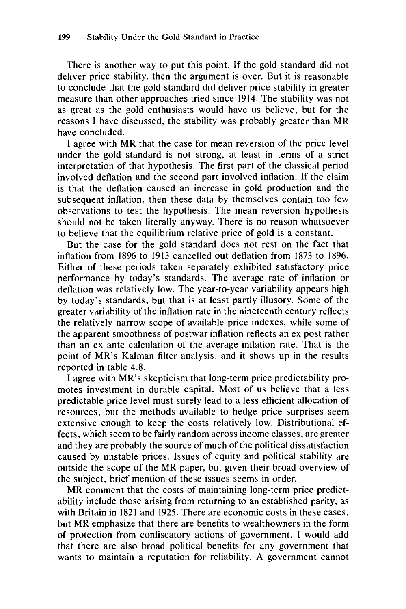There is another way to put this point. If the gold standard did not deliver price stability, then the argument is over. But it is reasonable to conclude that the gold standard did deliver price stability in greater measure than other approaches tried since **1914.** The stability was not as great as the gold enthusiasts would have **us** believe, but for the reasons I have discussed, the stability was probably greater than MR have concluded.

I agree with MR that the case for mean reversion of the price level under the gold standard is not strong, at least in terms of a strict interpretation of that hypothesis. The first part of the classical period involved deflation and the second part involved inflation. If the claim is that the deflation caused an increase in gold production and the subsequent inflation, then these data by themselves contain too few observations to test the hypothesis. The mean reversion hypothesis should not be taken literally anyway. There is no reason whatsoever to believe that the equilibrium relative price of gold is a constant.

But the case for the gold standard does not rest on the fact that inflation from **1896** to **1913** cancelled out deflation from **1873** to **1896.**  Either of these periods taken separately exhibited satisfactory price performance by today's standards. The average rate of inflation or deflation was relatively low. The year-to-year variability appears high by today's standards, but that is at least partly illusory. Some of the greater variability of the inflation rate in the nineteenth century reflects the relatively narrow scope of available price indexes, while some of the apparent smoothness of postwar inflation reflects an ex post rather than an ex ante calculation of the average inflation rate. That is the point of MR's Kalman filter analysis, and it shows up in the results reported in table **4.8.** 

I agree with **MR's** skepticism that long-term price predictability promotes investment in durable capital. Most of **us** believe that a less predictable price level must surely lead to a less efficient allocation of resources, but the methods available to hedge price surprises seem extensive enough to keep the costs relatively low. Distributional effects, which seem to be fairly random across income classes, are greater and they are probably the source of much of the political dissatisfaction caused by unstable prices. Issues of equity and political stability are outside the scope of the MR paper, but given their broad overview of the subject, brief mention of these issues seems in order.

MR comment that the costs of maintaining long-term price predictability include those arising from returning to an established parity, as with Britain in **1821** and **1925.** There are economic costs in these cases, but MR emphasize that there are benefits to wealthowners in the form of protection from confiscatory actions of government. I would add that there are also broad political benefits for any government that wants to maintain a reputation for reliability. **A** government cannot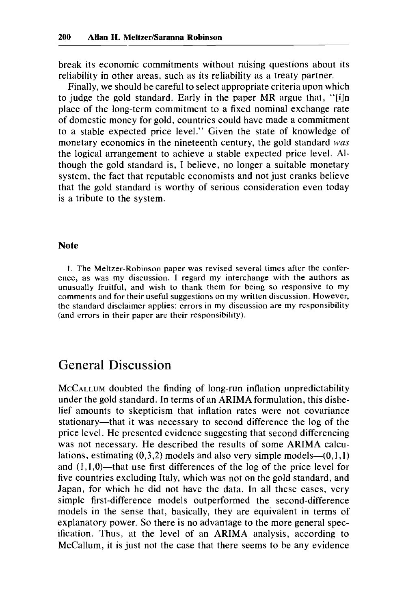break its economic commitments without raising questions about its reliability in other areas, such as its reliability as a treaty partner.

Finally, we should be careful to select appropriate criteria upon which to judge the gold standard. Early in the paper MR argue that, "[iln place of the long-term commitment to a fixed nominal exchange rate of domestic money for gold, countries could have made a commitment to a stable expected price level." Given the state of knowledge of monetary economics in the nineteenth century, the gold standard *was*  the logical arrangement to achieve a stable expected price level. Although the gold standard is, I believe, no longer a suitable monetary system, the fact that reputable economists and not just cranks believe that the gold standard is worthy of serious consideration even today is a tribute to the system.

#### **Note**

I. The Meltzer-Robinson paper was revised several times after the conference, as was my discussion. I regard my interchange with the authors as unusually fruitful, and wish to thank them for being *so* responsive to my comments and for their useful suggestions on my written discussion. However, the standard disclaimer applies: errors in my discussion are my responsibility (and errors in their paper are their responsibility).

## **General** Discussion

MCCALLUM doubted the finding of long-run inflation unpredictability under the gold standard. In terms of an ARIMA formulation, this disbelief amounts to skepticism that inflation rates were not covariance stationary—that it was necessary to second difference the log of the price level. He presented evidence suggesting that second differencing was not necessary. He described the results of some ARIMA calculations, estimating  $(0,3,2)$  models and also very simple models- $(0,1,1)$ and  $(1,1,0)$ —that use first differences of the log of the price level for five countries excluding Italy, which was not on the gold standard, and Japan, for which he did not have the data. In all these cases, very simple first-difference models outperformed the second-difference models in the sense that, basically, they are equivalent in terms of explanatory power. **So** there is no advantage to the more general specification. Thus, at the level of an ARIMA analysis, according to McCallum, it is just not the case that there seems to be any evidence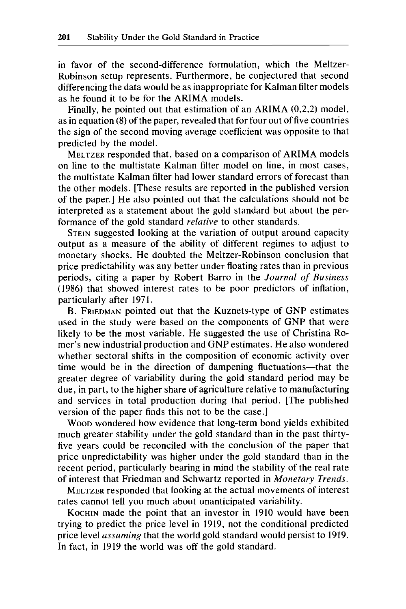in favor of the second-difference formulation, which the Meltzer-Robinson setup represents. Furthermore, he conjectured that second differencing the data would be as inappropriate for Kalman filter models as he found it to be for the ARIMA models.

Finally, he pointed out that estimation of an ARIMA *(0,2,2)* model, as in equation **(8)** of the paper, revealed that for four out of five countries the sign of the second moving average coefficient was opposite to that predicted by the model.

MELTZER responded that, based on a comparison of ARIMA models on line to the multistate Kalman filter model on line, in most cases, the multistate Kalman filter had lower standard errors of forecast than the other models. [These results are reported in the published version of the paper.] He also pointed out that the calculations should not be interpreted as a statement about the gold standard but about the performance of the gold standard *relative* to other standards.

STEIN suggested looking at the variation of output around capacity output as a measure of the ability of different regimes to adjust to monetary shocks. He doubted the Meltzer-Robinson conclusion that price predictability was any better under floating rates than in previous periods, citing a paper by Robert Barro in the *Journal of Business*  **(1986)** that showed interest rates to be poor predictors of inflation, particularly after **1971.** 

B. FRIEDMAN pointed out that the Kuznets-type of **GNP** estimates used in the study were based on the components of **GNP** that were likely to be the most variable. He suggested the use of Christina Romer's new industrial production and **GNP** estimates. He also wondered whether sectoral shifts in the composition of economic activity over time would be in the direction of dampening fluctuations—that the greater degree of variability during the gold standard period may be due, in part, to the higher share of agriculture relative to manufacturing and services in total production during that period. [The published version of the paper finds this not to be the case.]

**WOOD** wondered how evidence that long-term bond yields exhibited much greater stability under the gold standard than in the past thirtyfive years could be reconciled with the conclusion of the paper that price unpredictability was higher under the gold standard than in the recent period, particularly bearing in mind the stability of the real rate of interest that Friedman and Schwartz reported in *Monetary Trends.* 

MELTZER responded that looking at the actual movements of interest rates cannot tell you much about unanticipated variability.

KOCHIN made the point that an investor in **1910** would have been trying to predict the price level in **1919,** not the conditional predicted price level *assuming* that the world gold standard would persist to **1919.**  In fact, in **1919** the world was off the gold standard.